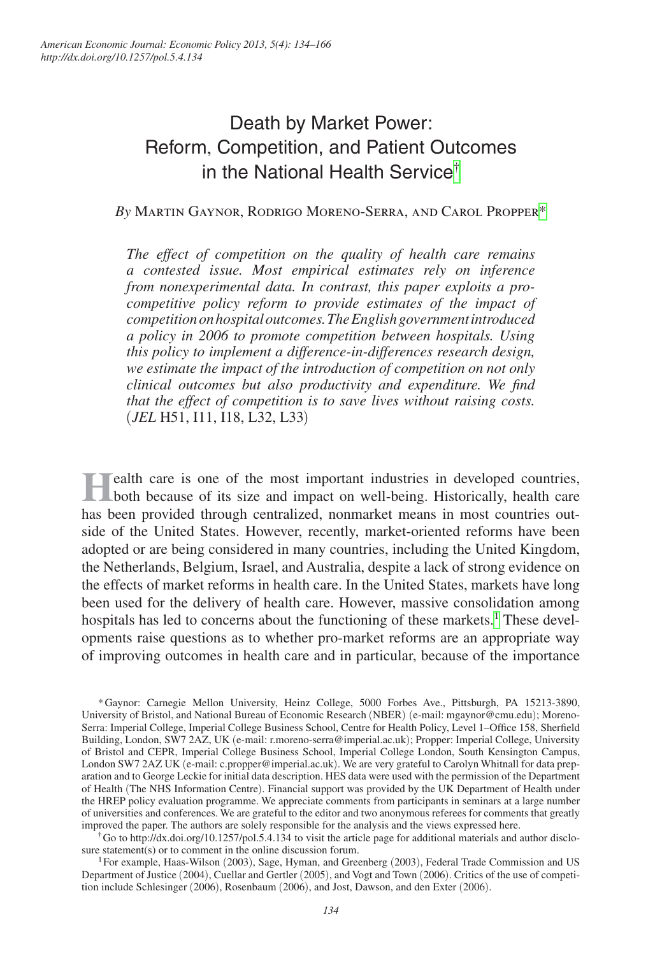# Death by Market Power: Reform, Competition, and Patient Outcomes in the National Health Service[†](#page-0-0)

## *By* Martin Gaynor, Rodrigo Moreno-Serra, and Carol Propper[\\*](#page-0-1)

*The effect of competition on the quality of health care remains a contested issue. Most empirical estimates rely on inference from nonexperimental data. In contrast, this paper exploits a procompetitive policy reform to provide estimates of the impact of competition on hospital outcomes. The English government introduced a policy in 2006 to promote competition between hospitals. Using this policy to implement a difference-in-differences research design, we estimate the impact of the introduction of competition on not only clinical outcomes but also productivity and expenditure. We find that the effect of competition is to save lives without raising costs.*  (*JEL* H51, I11, I18, L32, L33)

**Health care is one of the most important industries in developed countries, both because of its size and impact on well-being. Historically, health care** has been provided through centralized, nonmarket means in most countries outside of the United States. However, recently, market-oriented reforms have been adopted or are being considered in many countries, including the United Kingdom, the Netherlands, Belgium, Israel, and Australia, despite a lack of strong evidence on the effects of market reforms in health care. In the United States, markets have long been used for the delivery of health care. However, massive consolidation among hospitals has led to concerns about the functioning of these markets.<sup>[1](#page-0-2)</sup> These developments raise questions as to whether pro-market reforms are an appropriate way of improving outcomes in health care and in particular, because of the importance

<span id="page-0-1"></span>\*Gaynor: Carnegie Mellon University, Heinz College, 5000 Forbes Ave., Pittsburgh, PA 15213-3890, University of Bristol, and National Bureau of Economic Research (NBER) (e-mail: [mgaynor@cmu.edu](mailto:mgaynor@cmu.edu)); Moreno-Serra: Imperial College, Imperial College Business School, Centre for Health Policy, Level 1–Office 158, Sherfield Building, London, SW7 2AZ, UK (e-mail: [r.moreno-serra@imperial.ac.uk](mailto:r.moreno-serra@imperial.ac.uk)); Propper: Imperial College, University of Bristol and CEPR, Imperial College Business School, Imperial College London, South Kensington Campus, London SW7 2AZ UK (e-mail: [c.propper@imperial.ac.uk](mailto:c.propper@imperial.ac.uk)). We are very grateful to Carolyn Whitnall for data preparation and to George Leckie for initial data description. HES data were used with the permission of the Department of Health (The NHS Information Centre). Financial support was provided by the UK Department of Health under the HREP policy evaluation programme. We appreciate comments from participants in seminars at a large number of universities and conferences. We are grateful to the editor and two anonymous referees for comments that greatly improved the paper. The authors are solely responsible for the analysis and the views expressed here.

<span id="page-0-0"></span>**†**Go to <http://dx.doi.org/10.1257/pol.5.4.134> to visit the article page for additional materials and author disclosure statement(s) or to comment in the online discussion forum.

<span id="page-0-2"></span><sup>1</sup>For example, Haas-Wilson (2003), Sage, Hyman, and Greenberg (2003), Federal Trade Commission and US Department of Justice (2004), Cuellar and Gertler (2005), and Vogt and Town (2006). Critics of the use of competition include Schlesinger (2006), Rosenbaum (2006), and Jost, Dawson, and den Exter (2006).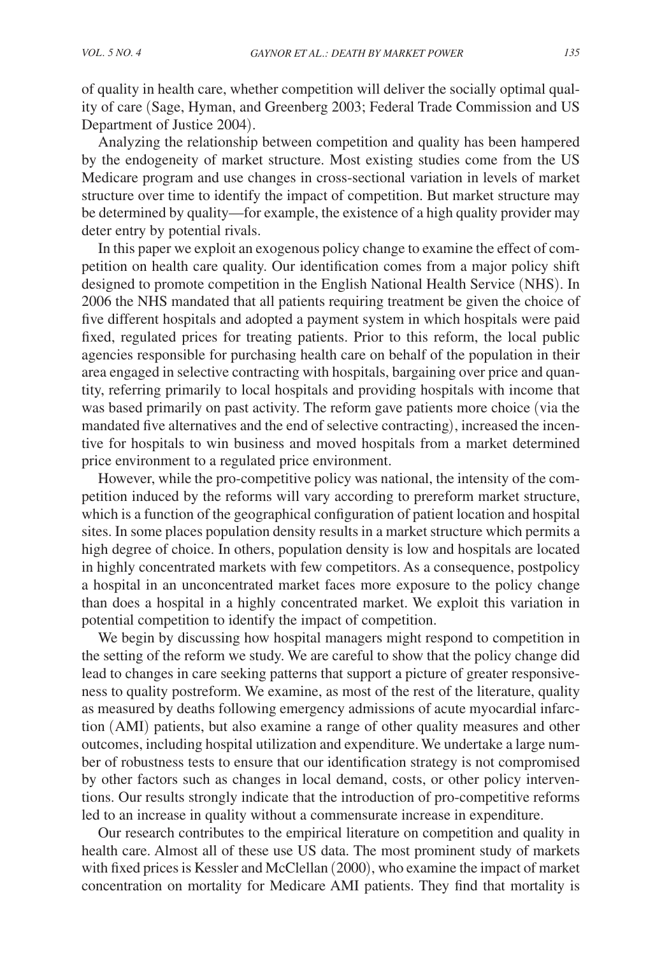of quality in health care, whether competition will deliver the socially optimal quality of care (Sage, Hyman, and Greenberg 2003; Federal Trade Commission and US Department of Justice 2004).

Analyzing the relationship between competition and quality has been hampered by the endogeneity of market structure. Most existing studies come from the US Medicare program and use changes in cross-sectional variation in levels of market structure over time to identify the impact of competition. But market structure may be determined by quality—for example, the existence of a high quality provider may deter entry by potential rivals.

In this paper we exploit an exogenous policy change to examine the effect of competition on health care quality. Our identification comes from a major policy shift designed to promote competition in the English National Health Service (NHS). In 2006 the NHS mandated that all patients requiring treatment be given the choice of five different hospitals and adopted a payment system in which hospitals were paid fixed, regulated prices for treating patients. Prior to this reform, the local public agencies responsible for purchasing health care on behalf of the population in their area engaged in selective contracting with hospitals, bargaining over price and quantity, referring primarily to local hospitals and providing hospitals with income that was based primarily on past activity. The reform gave patients more choice (via the mandated five alternatives and the end of selective contracting), increased the incentive for hospitals to win business and moved hospitals from a market determined price environment to a regulated price environment.

However, while the pro-competitive policy was national, the intensity of the competition induced by the reforms will vary according to prereform market structure, which is a function of the geographical configuration of patient location and hospital sites. In some places population density results in a market structure which permits a high degree of choice. In others, population density is low and hospitals are located in highly concentrated markets with few competitors. As a consequence, postpolicy a hospital in an unconcentrated market faces more exposure to the policy change than does a hospital in a highly concentrated market. We exploit this variation in potential competition to identify the impact of competition.

We begin by discussing how hospital managers might respond to competition in the setting of the reform we study. We are careful to show that the policy change did lead to changes in care seeking patterns that support a picture of greater responsiveness to quality postreform. We examine, as most of the rest of the literature, quality as measured by deaths following emergency admissions of acute myocardial infarction (AMI) patients, but also examine a range of other quality measures and other outcomes, including hospital utilization and expenditure. We undertake a large number of robustness tests to ensure that our identification strategy is not compromised by other factors such as changes in local demand, costs, or other policy interventions. Our results strongly indicate that the introduction of pro-competitive reforms led to an increase in quality without a commensurate increase in expenditure.

Our research contributes to the empirical literature on competition and quality in health care. Almost all of these use US data. The most prominent study of markets with fixed prices is Kessler and McClellan (2000), who examine the impact of market concentration on mortality for Medicare AMI patients. They find that mortality is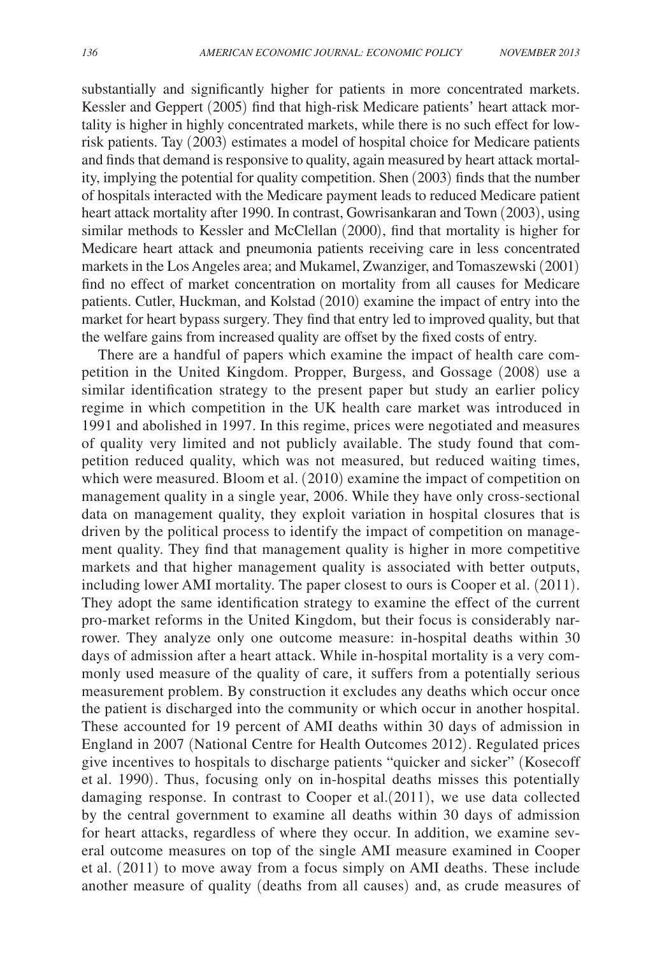substantially and significantly higher for patients in more concentrated markets. Kessler and Geppert (2005) find that high-risk Medicare patients' heart attack mortality is higher in highly concentrated markets, while there is no such effect for lowrisk patients. Tay (2003) estimates a model of hospital choice for Medicare patients and finds that demand is responsive to quality, again measured by heart attack mortality, implying the potential for quality competition. Shen (2003) finds that the number of hospitals interacted with the Medicare payment leads to reduced Medicare patient heart attack mortality after 1990. In contrast, Gowrisankaran and Town (2003), using similar methods to Kessler and McClellan (2000), find that mortality is higher for Medicare heart attack and pneumonia patients receiving care in less concentrated markets in the Los Angeles area; and Mukamel, Zwanziger, and Tomaszewski (2001) find no effect of market concentration on mortality from all causes for Medicare patients. Cutler, Huckman, and Kolstad (2010) examine the impact of entry into the market for heart bypass surgery. They find that entry led to improved quality, but that the welfare gains from increased quality are offset by the fixed costs of entry.

There are a handful of papers which examine the impact of health care competition in the United Kingdom. Propper, Burgess, and Gossage (2008) use a similar identification strategy to the present paper but study an earlier policy regime in which competition in the UK health care market was introduced in 1991 and abolished in 1997. In this regime, prices were negotiated and measures of quality very limited and not publicly available. The study found that competition reduced quality, which was not measured, but reduced waiting times, which were measured. Bloom et al. (2010) examine the impact of competition on management quality in a single year, 2006. While they have only cross-sectional data on management quality, they exploit variation in hospital closures that is driven by the political process to identify the impact of competition on management quality. They find that management quality is higher in more competitive markets and that higher management quality is associated with better outputs, including lower AMI mortality. The paper closest to ours is Cooper et al. (2011). They adopt the same identification strategy to examine the effect of the current pro-market reforms in the United Kingdom, but their focus is considerably narrower. They analyze only one outcome measure: in-hospital deaths within 30 days of admission after a heart attack. While in-hospital mortality is a very commonly used measure of the quality of care, it suffers from a potentially serious measurement problem. By construction it excludes any deaths which occur once the patient is discharged into the community or which occur in another hospital. These accounted for 19 percent of AMI deaths within 30 days of admission in England in 2007 (National Centre for Health Outcomes 2012). Regulated prices give incentives to hospitals to discharge patients "quicker and sicker" (Kosecoff et al. 1990). Thus, focusing only on in-hospital deaths misses this potentially damaging response. In contrast to Cooper et al.(2011), we use data collected by the central government to examine all deaths within 30 days of admission for heart attacks, regardless of where they occur. In addition, we examine several outcome measures on top of the single AMI measure examined in Cooper et al. (2011) to move away from a focus simply on AMI deaths. These include another measure of quality (deaths from all causes) and, as crude measures of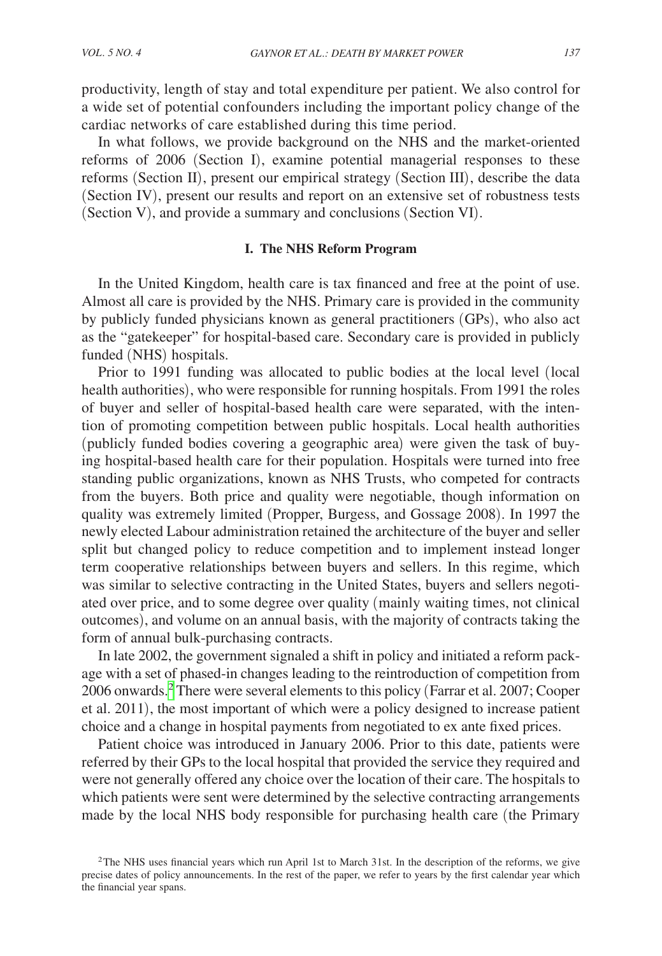productivity, length of stay and total expenditure per patient. We also control for a wide set of potential confounders including the important policy change of the cardiac networks of care established during this time period.

In what follows, we provide background on the NHS and the market-oriented reforms of 2006 (Section I), examine potential managerial responses to these reforms (Section II), present our empirical strategy (Section III), describe the data (Section IV), present our results and report on an extensive set of robustness tests (Section V), and provide a summary and conclusions (Section VI).

#### **I. The NHS Reform Program**

In the United Kingdom, health care is tax financed and free at the point of use. Almost all care is provided by the NHS. Primary care is provided in the community by publicly funded physicians known as general practitioners (GPs), who also act as the "gatekeeper" for hospital-based care. Secondary care is provided in publicly funded (NHS) hospitals.

Prior to 1991 funding was allocated to public bodies at the local level (local health authorities), who were responsible for running hospitals. From 1991 the roles of buyer and seller of hospital-based health care were separated, with the intention of promoting competition between public hospitals. Local health authorities (publicly funded bodies covering a geographic area) were given the task of buying hospital-based health care for their population. Hospitals were turned into free standing public organizations, known as NHS Trusts, who competed for contracts from the buyers. Both price and quality were negotiable, though information on quality was extremely limited (Propper, Burgess, and Gossage 2008). In 1997 the newly elected Labour administration retained the architecture of the buyer and seller split but changed policy to reduce competition and to implement instead longer term cooperative relationships between buyers and sellers. In this regime, which was similar to selective contracting in the United States, buyers and sellers negotiated over price, and to some degree over quality (mainly waiting times, not clinical outcomes), and volume on an annual basis, with the majority of contracts taking the form of annual bulk-purchasing contracts.

In late 2002, the government signaled a shift in policy and initiated a reform package with a set of phased-in changes leading to the reintroduction of competition from 2006 onwards[.2](#page-3-0) There were several elements to this policy (Farrar et al. 2007; Cooper et al. 2011), the most important of which were a policy designed to increase patient choice and a change in hospital payments from negotiated to ex ante fixed prices.

Patient choice was introduced in January 2006. Prior to this date, patients were referred by their GPs to the local hospital that provided the service they required and were not generally offered any choice over the location of their care. The hospitals to which patients were sent were determined by the selective contracting arrangements made by the local NHS body responsible for purchasing health care (the Primary

<span id="page-3-0"></span><sup>&</sup>lt;sup>2</sup>The NHS uses financial years which run April 1st to March 31st. In the description of the reforms, we give precise dates of policy announcements. In the rest of the paper, we refer to years by the first calendar year which the financial year spans.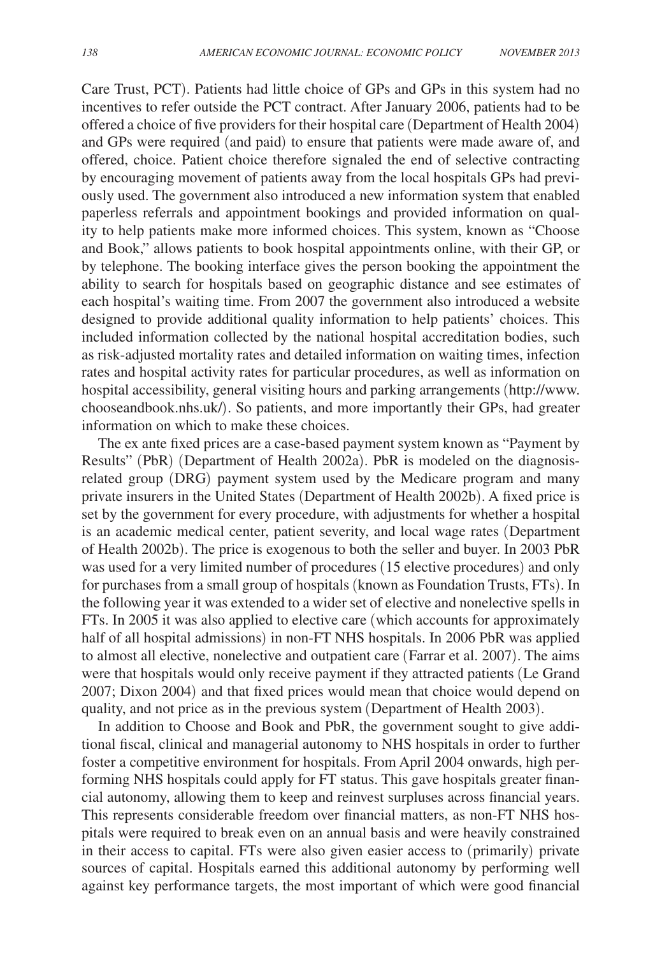Care Trust, PCT). Patients had little choice of GPs and GPs in this system had no incentives to refer outside the PCT contract. After January 2006, patients had to be offered a choice of five providers for their hospital care (Department of Health 2004) and GPs were required (and paid) to ensure that patients were made aware of, and offered, choice. Patient choice therefore signaled the end of selective contracting by encouraging movement of patients away from the local hospitals GPs had previously used. The government also introduced a new information system that enabled paperless referrals and appointment bookings and provided information on quality to help patients make more informed choices. This system, known as "Choose and Book," allows patients to book hospital appointments online, with their GP, or by telephone. The booking interface gives the person booking the appointment the ability to search for hospitals based on geographic distance and see estimates of each hospital's waiting time. From 2007 the government also introduced a website designed to provide additional quality information to help patients' choices. This included information collected by the national hospital accreditation bodies, such as risk-adjusted mortality rates and detailed information on waiting times, infection rates and hospital activity rates for particular procedures, as well as information on hospital accessibility, general visiting hours and parking arrangements ([http://www.](http://www.chooseandbook.nhs.uk) [chooseandbook.nhs.uk](http://www.chooseandbook.nhs.uk)/). So patients, and more importantly their GPs, had greater information on which to make these choices.

The ex ante fixed prices are a case-based payment system known as "Payment by Results" (PbR) (Department of Health 2002a). PbR is modeled on the diagnosisrelated group (DRG) payment system used by the Medicare program and many private insurers in the United States (Department of Health 2002b). A fixed price is set by the government for every procedure, with adjustments for whether a hospital is an academic medical center, patient severity, and local wage rates (Department of Health 2002b). The price is exogenous to both the seller and buyer. In 2003 PbR was used for a very limited number of procedures (15 elective procedures) and only for purchases from a small group of hospitals (known as Foundation Trusts, FTs). In the following year it was extended to a wider set of elective and nonelective spells in FTs. In 2005 it was also applied to elective care (which accounts for approximately half of all hospital admissions) in non-FT NHS hospitals. In 2006 PbR was applied to almost all elective, nonelective and outpatient care (Farrar et al. 2007). The aims were that hospitals would only receive payment if they attracted patients (Le Grand 2007; Dixon 2004) and that fixed prices would mean that choice would depend on quality, and not price as in the previous system (Department of Health 2003).

In addition to Choose and Book and PbR, the government sought to give additional fiscal, clinical and managerial autonomy to NHS hospitals in order to further foster a competitive environment for hospitals. From April 2004 onwards, high performing NHS hospitals could apply for FT status. This gave hospitals greater financial autonomy, allowing them to keep and reinvest surpluses across financial years. This represents considerable freedom over financial matters, as non-FT NHS hospitals were required to break even on an annual basis and were heavily constrained in their access to capital. FTs were also given easier access to (primarily) private sources of capital. Hospitals earned this additional autonomy by performing well against key performance targets, the most important of which were good financial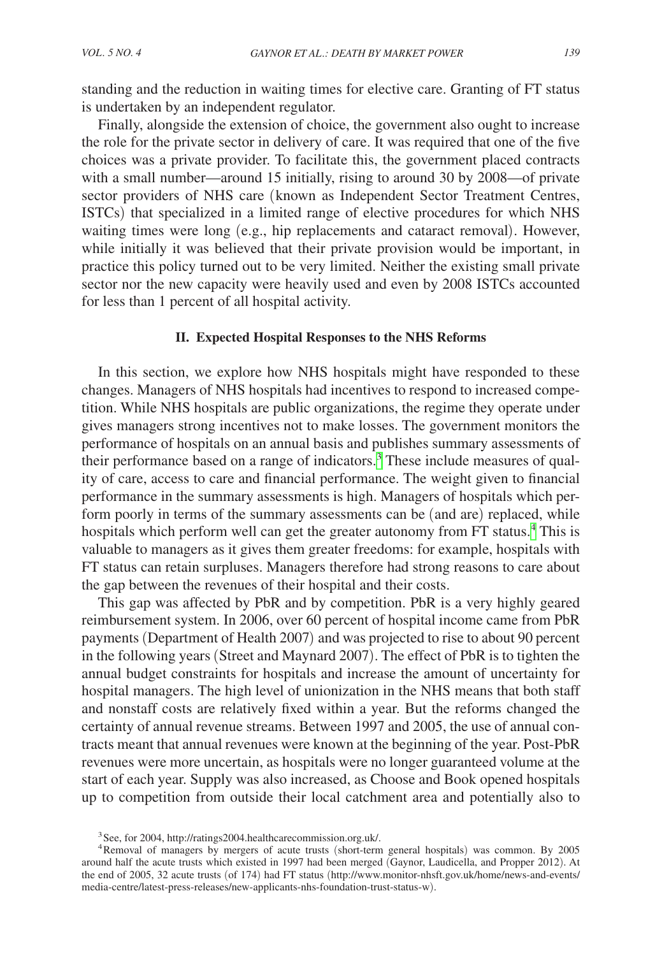standing and the reduction in waiting times for elective care. Granting of FT status is undertaken by an independent regulator.

Finally, alongside the extension of choice, the government also ought to increase the role for the private sector in delivery of care. It was required that one of the five choices was a private provider. To facilitate this, the government placed contracts with a small number—around 15 initially, rising to around 30 by 2008—of private sector providers of NHS care (known as Independent Sector Treatment Centres, ISTCs) that specialized in a limited range of elective procedures for which NHS waiting times were long (e.g., hip replacements and cataract removal). However, while initially it was believed that their private provision would be important, in practice this policy turned out to be very limited. Neither the existing small private sector nor the new capacity were heavily used and even by 2008 ISTCs accounted for less than 1 percent of all hospital activity.

#### **II. Expected Hospital Responses to the NHS Reforms**

In this section, we explore how NHS hospitals might have responded to these changes. Managers of NHS hospitals had incentives to respond to increased competition. While NHS hospitals are public organizations, the regime they operate under gives managers strong incentives not to make losses. The government monitors the performance of hospitals on an annual basis and publishes summary assessments of their performance based on a range of indicators.<sup>[3](#page-5-0)</sup> These include measures of quality of care, access to care and financial performance. The weight given to financial performance in the summary assessments is high. Managers of hospitals which perform poorly in terms of the summary assessments can be (and are) replaced, while hospitals which perform well can get the greater autonomy from FT status.<sup>[4](#page-5-1)</sup> This is valuable to managers as it gives them greater freedoms: for example, hospitals with FT status can retain surpluses. Managers therefore had strong reasons to care about the gap between the revenues of their hospital and their costs.

This gap was affected by PbR and by competition. PbR is a very highly geared reimbursement system. In 2006, over 60 percent of hospital income came from PbR payments (Department of Health 2007) and was projected to rise to about 90 percent in the following years (Street and Maynard 2007). The effect of PbR is to tighten the annual budget constraints for hospitals and increase the amount of uncertainty for hospital managers. The high level of unionization in the NHS means that both staff and nonstaff costs are relatively fixed within a year. But the reforms changed the certainty of annual revenue streams. Between 1997 and 2005, the use of annual contracts meant that annual revenues were known at the beginning of the year. Post-PbR revenues were more uncertain, as hospitals were no longer guaranteed volume at the start of each year. Supply was also increased, as Choose and Book opened hospitals up to competition from outside their local catchment area and potentially also to

<span id="page-5-1"></span><span id="page-5-0"></span><sup>3</sup>See, for 2004, [http://ratings2004.healthcarecommission.org.uk/](http://ratings2004.healthcarecommission.org.uk).

<sup>4</sup>Removal of managers by mergers of acute trusts (short-term general hospitals) was common. By 2005 around half the acute trusts which existed in 1997 had been merged (Gaynor, Laudicella, and Propper 2012). At the end of 2005, 32 acute trusts (of 174) had FT status ([http://www.monitor-nhsft.gov.uk/home/news-and-events/](http://www.monitor-nhsft.gov.uk/home/news-and-events/media-centre/latest-press-releases/new-applicants-nhs-foundation-trust-status-w) [media-centre/latest-press-releases/new-applicants-nhs-foundation-trust-status-w](http://www.monitor-nhsft.gov.uk/home/news-and-events/media-centre/latest-press-releases/new-applicants-nhs-foundation-trust-status-w)).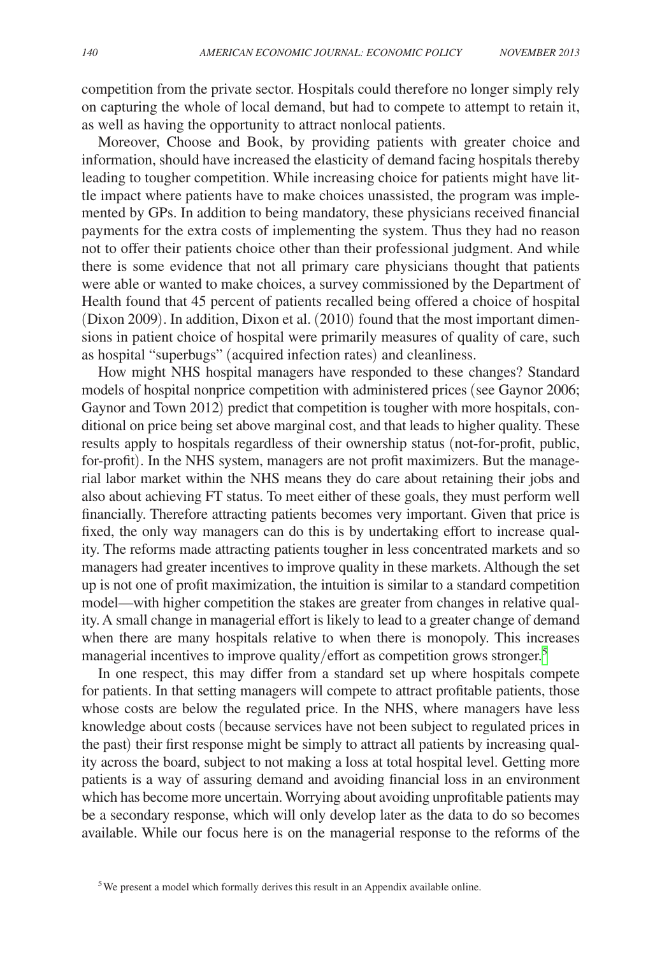competition from the private sector. Hospitals could therefore no longer simply rely on capturing the whole of local demand, but had to compete to attempt to retain it, as well as having the opportunity to attract nonlocal patients.

Moreover, Choose and Book, by providing patients with greater choice and information, should have increased the elasticity of demand facing hospitals thereby leading to tougher competition. While increasing choice for patients might have little impact where patients have to make choices unassisted, the program was implemented by GPs. In addition to being mandatory, these physicians received financial payments for the extra costs of implementing the system. Thus they had no reason not to offer their patients choice other than their professional judgment. And while there is some evidence that not all primary care physicians thought that patients were able or wanted to make choices, a survey commissioned by the Department of Health found that 45 percent of patients recalled being offered a choice of hospital (Dixon 2009). In addition, Dixon et al. (2010) found that the most important dimensions in patient choice of hospital were primarily measures of quality of care, such as hospital "superbugs" (acquired infection rates) and cleanliness.

How might NHS hospital managers have responded to these changes? Standard models of hospital nonprice competition with administered prices (see Gaynor 2006; Gaynor and Town 2012) predict that competition is tougher with more hospitals, conditional on price being set above marginal cost, and that leads to higher quality. These results apply to hospitals regardless of their ownership status (not-for-profit, public, for-profit). In the NHS system, managers are not profit maximizers. But the managerial labor market within the NHS means they do care about retaining their jobs and also about achieving FT status. To meet either of these goals, they must perform well financially. Therefore attracting patients becomes very important. Given that price is fixed, the only way managers can do this is by undertaking effort to increase quality. The reforms made attracting patients tougher in less concentrated markets and so managers had greater incentives to improve quality in these markets. Although the set up is not one of profit maximization, the intuition is similar to a standard competition model—with higher competition the stakes are greater from changes in relative quality. A small change in managerial effort is likely to lead to a greater change of demand when there are many hospitals relative to when there is monopoly. This increases managerial incentives to improve quality/effort as competition grows stronger.<sup>5</sup>

In one respect, this may differ from a standard set up where hospitals compete for patients. In that setting managers will compete to attract profitable patients, those whose costs are below the regulated price. In the NHS, where managers have less knowledge about costs (because services have not been subject to regulated prices in the past) their first response might be simply to attract all patients by increasing quality across the board, subject to not making a loss at total hospital level. Getting more patients is a way of assuring demand and avoiding financial loss in an environment which has become more uncertain. Worrying about avoiding unprofitable patients may be a secondary response, which will only develop later as the data to do so becomes available. While our focus here is on the managerial response to the reforms of the

<span id="page-6-0"></span><sup>&</sup>lt;sup>5</sup>We present a model which formally derives this result in an Appendix available online.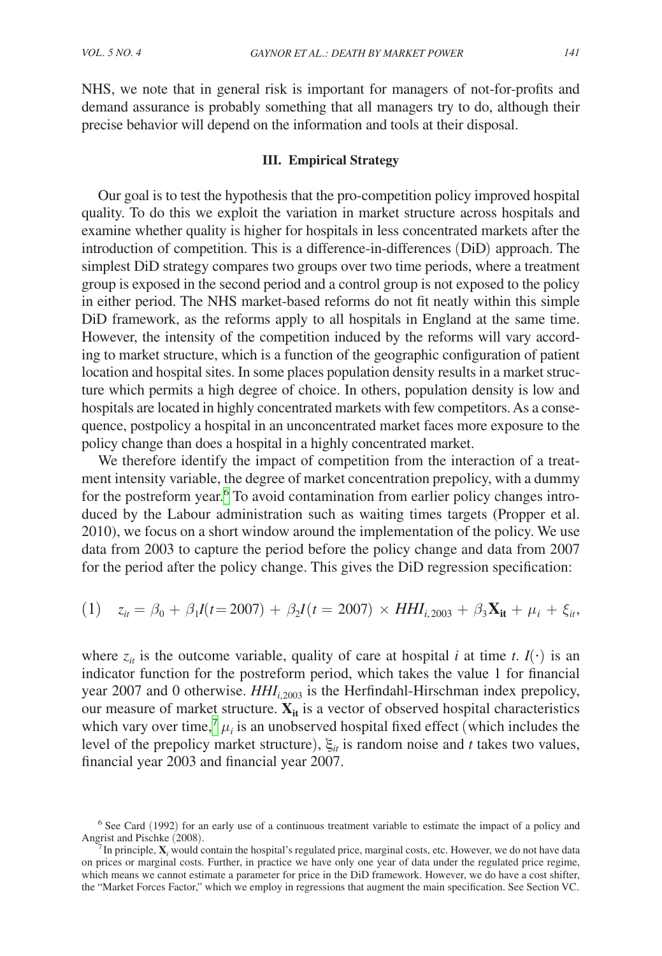NHS, we note that in general risk is important for managers of not-for-profits and demand assurance is probably something that all managers try to do, although their precise behavior will depend on the information and tools at their disposal.

#### **III. Empirical Strategy**

Our goal is to test the hypothesis that the pro-competition policy improved hospital quality. To do this we exploit the variation in market structure across hospitals and examine whether quality is higher for hospitals in less concentrated markets after the introduction of competition. This is a difference-in-differences (DiD) approach. The simplest DiD strategy compares two groups over two time periods, where a treatment group is exposed in the second period and a control group is not exposed to the policy in either period. The NHS market-based reforms do not fit neatly within this simple DiD framework, as the reforms apply to all hospitals in England at the same time. However, the intensity of the competition induced by the reforms will vary according to market structure, which is a function of the geographic configuration of patient location and hospital sites. In some places population density results in a market structure which permits a high degree of choice. In others, population density is low and hospitals are located in highly concentrated markets with few competitors. As a consequence, postpolicy a hospital in an unconcentrated market faces more exposure to the policy change than does a hospital in a highly concentrated market.

We therefore identify the impact of competition from the interaction of a treatment intensity variable, the degree of market concentration prepolicy, with a dummy for the postreform year.<sup>[6](#page-7-0)</sup> To avoid contamination from earlier policy changes introduced by the Labour administration such as waiting times targets (Propper et al. 2010), we focus on a short window around the implementation of the policy. We use data from 2003 to capture the period before the policy change and data from 2007 for the period after the policy change. This gives the DiD regression specification:

$$
(1) \quad z_{it} = \beta_0 + \beta_1 I(t = 2007) + \beta_2 I(t = 2007) \times HHI_{i,2003} + \beta_3 \mathbf{X}_{it} + \mu_i + \xi_{it},
$$

where  $z_{it}$  is the outcome variable, quality of care at hospital *i* at time *t*.  $I(\cdot)$  is an indicator function for the postreform period, which takes the value 1 for financial year 2007 and 0 otherwise. *HHI*<sub>i,2003</sub> is the Herfindahl-Hirschman index prepolicy, our measure of market structure.  $X_{it}$  is a vector of observed hospital characteristics which vary over time,<sup>[7](#page-7-1)</sup>  $\mu$ <sub>i</sub> is an unobserved hospital fixed effect (which includes the level of the prepolicy market structure),  $\xi_i$  is random noise and *t* takes two values, financial year 2003 and financial year 2007.

<span id="page-7-0"></span><sup>6</sup> See Card (1992) for an early use of a continuous treatment variable to estimate the impact of a policy and

<span id="page-7-1"></span>In principle,  $\mathbf{X}_i$  would contain the hospital's regulated price, marginal costs, etc. However, we do not have data on prices or marginal costs. Further, in practice we have only one year of data under the regulated price regime, which means we cannot estimate a parameter for price in the DiD framework. However, we do have a cost shifter, the "Market Forces Factor," which we employ in regressions that augment the main specification. See Section VC.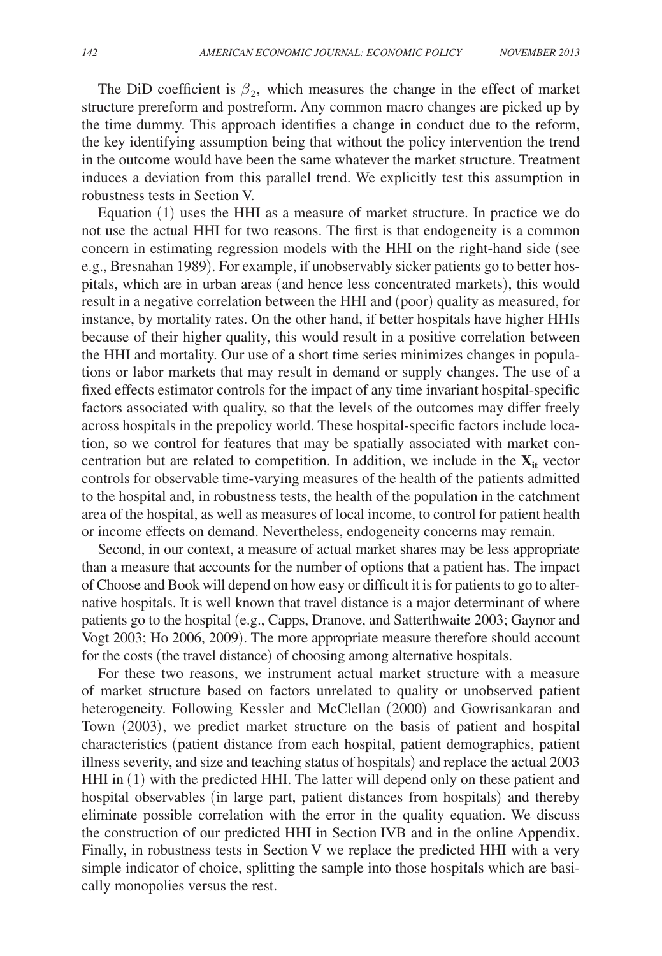The DiD coefficient is  $\beta_2$ , which measures the change in the effect of market structure prereform and postreform. Any common macro changes are picked up by the time dummy. This approach identifies a change in conduct due to the reform, the key identifying assumption being that without the policy intervention the trend in the outcome would have been the same whatever the market structure. Treatment induces a deviation from this parallel trend. We explicitly test this assumption in robustness tests in Section V.

Equation (1) uses the HHI as a measure of market structure. In practice we do not use the actual HHI for two reasons. The first is that endogeneity is a common concern in estimating regression models with the HHI on the right-hand side (see e.g., Bresnahan 1989). For example, if unobservably sicker patients go to better hospitals, which are in urban areas (and hence less concentrated markets), this would result in a negative correlation between the HHI and (poor) quality as measured, for instance, by mortality rates. On the other hand, if better hospitals have higher HHIs because of their higher quality, this would result in a positive correlation between the HHI and mortality. Our use of a short time series minimizes changes in populations or labor markets that may result in demand or supply changes. The use of a fixed effects estimator controls for the impact of any time invariant hospital-specific factors associated with quality, so that the levels of the outcomes may differ freely across hospitals in the prepolicy world. These hospital-specific factors include location, so we control for features that may be spatially associated with market concentration but are related to competition. In addition, we include in the  $X_{it}$  vector controls for observable time-varying measures of the health of the patients admitted to the hospital and, in robustness tests, the health of the population in the catchment area of the hospital, as well as measures of local income, to control for patient health or income effects on demand. Nevertheless, endogeneity concerns may remain.

Second, in our context, a measure of actual market shares may be less appropriate than a measure that accounts for the number of options that a patient has. The impact of Choose and Book will depend on how easy or difficult it is for patients to go to alternative hospitals. It is well known that travel distance is a major determinant of where patients go to the hospital (e.g., Capps, Dranove, and Satterthwaite 2003; Gaynor and Vogt 2003; Ho 2006, 2009). The more appropriate measure therefore should account for the costs (the travel distance) of choosing among alternative hospitals.

For these two reasons, we instrument actual market structure with a measure of market structure based on factors unrelated to quality or unobserved patient heterogeneity. Following Kessler and McClellan (2000) and Gowrisankaran and Town (2003), we predict market structure on the basis of patient and hospital characteristics (patient distance from each hospital, patient demographics, patient illness severity, and size and teaching status of hospitals) and replace the actual 2003 HHI in (1) with the predicted HHI. The latter will depend only on these patient and hospital observables (in large part, patient distances from hospitals) and thereby eliminate possible correlation with the error in the quality equation. We discuss the construction of our predicted HHI in Section IVB and in the online Appendix. Finally, in robustness tests in Section V we replace the predicted HHI with a very simple indicator of choice, splitting the sample into those hospitals which are basically monopolies versus the rest.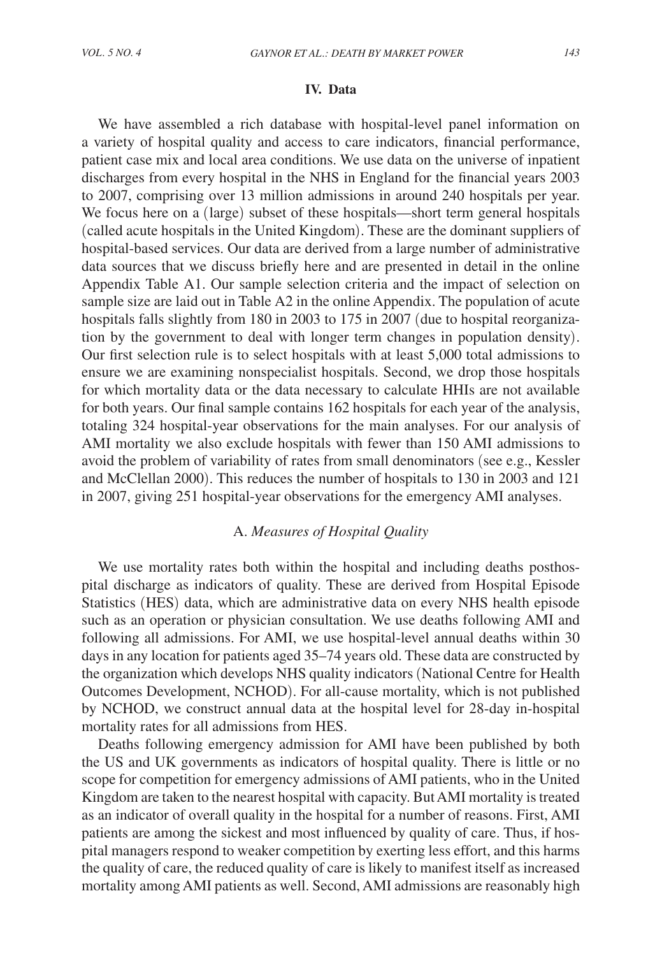#### **IV. Data**

We have assembled a rich database with hospital-level panel information on a variety of hospital quality and access to care indicators, financial performance, patient case mix and local area conditions. We use data on the universe of inpatient discharges from every hospital in the NHS in England for the financial years 2003 to 2007, comprising over 13 million admissions in around 240 hospitals per year. We focus here on a (large) subset of these hospitals—short term general hospitals (called acute hospitals in the United Kingdom). These are the dominant suppliers of hospital-based services. Our data are derived from a large number of administrative data sources that we discuss briefly here and are presented in detail in the online Appendix Table A1. Our sample selection criteria and the impact of selection on sample size are laid out in Table A2 in the online Appendix. The population of acute hospitals falls slightly from 180 in 2003 to 175 in 2007 (due to hospital reorganization by the government to deal with longer term changes in population density). Our first selection rule is to select hospitals with at least 5,000 total admissions to ensure we are examining nonspecialist hospitals. Second, we drop those hospitals for which mortality data or the data necessary to calculate HHIs are not available for both years. Our final sample contains 162 hospitals for each year of the analysis, totaling 324 hospital-year observations for the main analyses. For our analysis of AMI mortality we also exclude hospitals with fewer than 150 AMI admissions to avoid the problem of variability of rates from small denominators (see e.g., Kessler and McClellan 2000). This reduces the number of hospitals to 130 in 2003 and 121 in 2007, giving 251 hospital-year observations for the emergency AMI analyses.

## A. *Measures of Hospital Quality*

We use mortality rates both within the hospital and including deaths posthospital discharge as indicators of quality. These are derived from Hospital Episode Statistics (HES) data, which are administrative data on every NHS health episode such as an operation or physician consultation. We use deaths following AMI and following all admissions. For AMI, we use hospital-level annual deaths within 30 days in any location for patients aged 35–74 years old. These data are constructed by the organization which develops NHS quality indicators (National Centre for Health Outcomes Development, NCHOD). For all-cause mortality, which is not published by NCHOD, we construct annual data at the hospital level for 28-day in-hospital mortality rates for all admissions from HES.

Deaths following emergency admission for AMI have been published by both the US and UK governments as indicators of hospital quality. There is little or no scope for competition for emergency admissions of AMI patients, who in the United Kingdom are taken to the nearest hospital with capacity. But AMI mortality is treated as an indicator of overall quality in the hospital for a number of reasons. First, AMI patients are among the sickest and most influenced by quality of care. Thus, if hospital managers respond to weaker competition by exerting less effort, and this harms the quality of care, the reduced quality of care is likely to manifest itself as increased mortality among AMI patients as well. Second, AMI admissions are reasonably high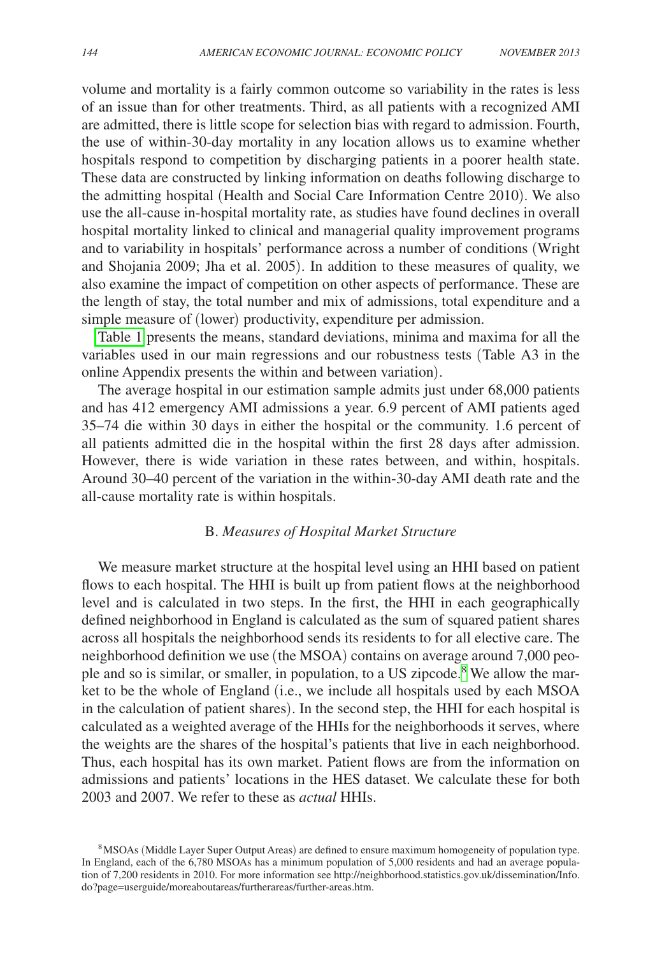volume and mortality is a fairly common outcome so variability in the rates is less of an issue than for other treatments. Third, as all patients with a recognized AMI are admitted, there is little scope for selection bias with regard to admission. Fourth, the use of within-30-day mortality in any location allows us to examine whether hospitals respond to competition by discharging patients in a poorer health state. These data are constructed by linking information on deaths following discharge to the admitting hospital (Health and Social Care Information Centre 2010). We also use the all-cause in-hospital mortality rate, as studies have found declines in overall hospital mortality linked to clinical and managerial quality improvement programs and to variability in hospitals' performance across a number of conditions (Wright and Shojania 2009; Jha et al. 2005). In addition to these measures of quality, we also examine the impact of competition on other aspects of performance. These are the length of stay, the total number and mix of admissions, total expenditure and a simple measure of (lower) productivity, expenditure per admission.

[Table 1](#page-11-0) presents the means, standard deviations, minima and maxima for all the variables used in our main regressions and our robustness tests (Table A3 in the online Appendix presents the within and between variation).

The average hospital in our estimation sample admits just under 68,000 patients and has 412 emergency AMI admissions a year. 6.9 percent of AMI patients aged 35–74 die within 30 days in either the hospital or the community. 1.6 percent of all patients admitted die in the hospital within the first 28 days after admission. However, there is wide variation in these rates between, and within, hospitals. Around 30–40 percent of the variation in the within-30-day AMI death rate and the all-cause mortality rate is within hospitals.

## B. *Measures of Hospital Market Structure*

We measure market structure at the hospital level using an HHI based on patient flows to each hospital. The HHI is built up from patient flows at the neighborhood level and is calculated in two steps. In the first, the HHI in each geographically defined neighborhood in England is calculated as the sum of squared patient shares across all hospitals the neighborhood sends its residents to for all elective care. The neighborhood definition we use (the MSOA) contains on average around 7,000 peo-ple and so is similar, or smaller, in population, to a US zipcode.<sup>[8](#page-10-0)</sup> We allow the market to be the whole of England (i.e., we include all hospitals used by each MSOA in the calculation of patient shares). In the second step, the HHI for each hospital is calculated as a weighted average of the HHIs for the neighborhoods it serves, where the weights are the shares of the hospital's patients that live in each neighborhood. Thus, each hospital has its own market. Patient flows are from the information on admissions and patients' locations in the HES dataset. We calculate these for both 2003 and 2007. We refer to these as *actual* HHIs.

<span id="page-10-0"></span><sup>8</sup>MSOAs (Middle Layer Super Output Areas) are defined to ensure maximum homogeneity of population type. In England, each of the 6,780 MSOAs has a minimum population of 5,000 residents and had an average population of 7,200 residents in 2010. For more information see [http://neighborhood.statistics.gov.uk/dissemination/Info.](http://neighborhood.statistics.gov.uk/dissemination/Info.do?page=userguide/moreaboutareas/furtherareas/further-areas.htm) [do?page=userguide/moreaboutareas/furtherareas/further-areas.htm](http://neighborhood.statistics.gov.uk/dissemination/Info.do?page=userguide/moreaboutareas/furtherareas/further-areas.htm).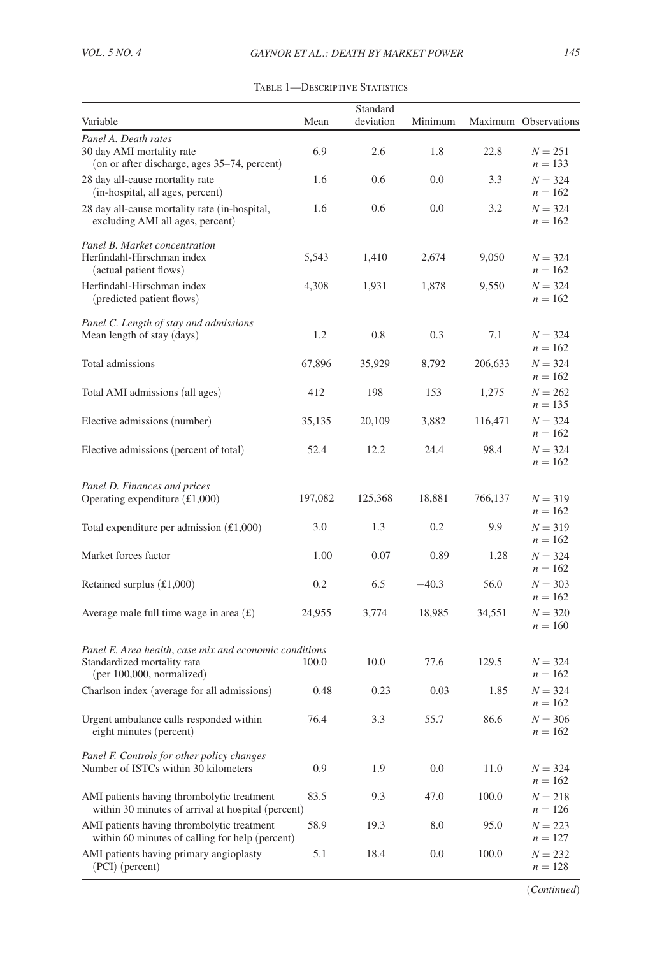|  | <b>TABLE 1-DESCRIPTIVE STATISTICS</b> |  |
|--|---------------------------------------|--|
|--|---------------------------------------|--|

<span id="page-11-0"></span>

| Variable                                                                                                           | Mean    | Standard<br>deviation | Minimum |         | Maximum Observations   |
|--------------------------------------------------------------------------------------------------------------------|---------|-----------------------|---------|---------|------------------------|
|                                                                                                                    |         |                       |         |         |                        |
| Panel A. Death rates<br>30 day AMI mortality rate<br>(on or after discharge, ages 35–74, percent)                  | 6.9     | 2.6                   | 1.8     | 22.8    | $N = 251$<br>$n = 133$ |
| 28 day all-cause mortality rate<br>(in-hospital, all ages, percent)                                                | 1.6     | 0.6                   | 0.0     | 3.3     | $N = 324$<br>$n = 162$ |
| 28 day all-cause mortality rate (in-hospital,<br>excluding AMI all ages, percent)                                  | 1.6     | 0.6                   | 0.0     | 3.2     | $N = 324$<br>$n = 162$ |
| Panel B. Market concentration<br>Herfindahl-Hirschman index<br>(actual patient flows)                              | 5,543   | 1,410                 | 2,674   | 9,050   | $N = 324$<br>$n = 162$ |
| Herfindahl-Hirschman index<br>(predicted patient flows)                                                            | 4,308   | 1,931                 | 1,878   | 9,550   | $N = 324$<br>$n = 162$ |
| Panel C. Length of stay and admissions                                                                             |         |                       |         |         |                        |
| Mean length of stay (days)                                                                                         | 1.2     | 0.8                   | 0.3     | 7.1     | $N = 324$<br>$n = 162$ |
| Total admissions                                                                                                   | 67,896  | 35,929                | 8,792   | 206,633 | $N = 324$<br>$n = 162$ |
| Total AMI admissions (all ages)                                                                                    | 412     | 198                   | 153     | 1,275   | $N = 262$<br>$n = 135$ |
| Elective admissions (number)                                                                                       | 35,135  | 20,109                | 3,882   | 116,471 | $N = 324$<br>$n = 162$ |
| Elective admissions (percent of total)                                                                             | 52.4    | 12.2                  | 24.4    | 98.4    | $N = 324$<br>$n = 162$ |
| Panel D. Finances and prices                                                                                       |         |                       |         |         |                        |
| Operating expenditure $(\text{\pounds}1,000)$                                                                      | 197,082 | 125,368               | 18,881  | 766,137 | $N = 319$<br>$n = 162$ |
| Total expenditure per admission $(\text{\pounds}1,000)$                                                            | 3.0     | 1.3                   | 0.2     | 9.9     | $N = 319$<br>$n = 162$ |
| Market forces factor                                                                                               | 1.00    | 0.07                  | 0.89    | 1.28    | $N = 324$<br>$n = 162$ |
| Retained surplus $(\text{\pounds}1,000)$                                                                           | 0.2     | 6.5                   | $-40.3$ | 56.0    | $N = 303$<br>$n = 162$ |
| Average male full time wage in area $(E)$                                                                          | 24,955  | 3,774                 | 18,985  | 34,551  | $N = 320$<br>$n = 160$ |
| Panel E. Area health, case mix and economic conditions<br>Standardized mortality rate<br>(per 100,000, normalized) | 100.0   | 10.0                  | 77.6    | 129.5   | $N = 324$<br>$n = 162$ |
| Charlson index (average for all admissions)                                                                        | 0.48    | 0.23                  | 0.03    | 1.85    | $N = 324$<br>$n = 162$ |
| Urgent ambulance calls responded within<br>eight minutes (percent)                                                 | 76.4    | 3.3                   | 55.7    | 86.6    | $N = 306$<br>$n = 162$ |
| Panel F. Controls for other policy changes<br>Number of ISTCs within 30 kilometers                                 | 0.9     | 1.9                   | 0.0     | 11.0    | $N = 324$<br>$n = 162$ |
| AMI patients having thrombolytic treatment<br>within 30 minutes of arrival at hospital (percent)                   | 83.5    | 9.3                   | 47.0    | 100.0   | $N = 218$<br>$n = 126$ |
| AMI patients having thrombolytic treatment<br>within 60 minutes of calling for help (percent)                      | 58.9    | 19.3                  | 8.0     | 95.0    | $N = 223$<br>$n = 127$ |
| AMI patients having primary angioplasty<br>(PCI) (percent)                                                         | 5.1     | 18.4                  | 0.0     | 100.0   | $N = 232$<br>$n = 128$ |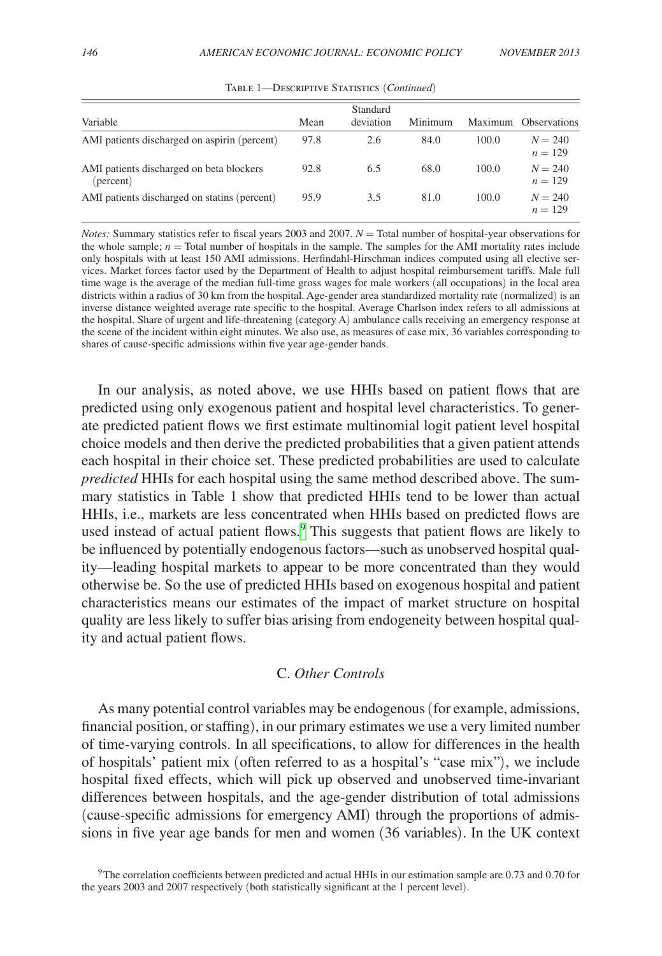| Variable                                              | Mean | Standard<br>deviation | Minimum | Maximum | <b>Observations</b>    |
|-------------------------------------------------------|------|-----------------------|---------|---------|------------------------|
| AMI patients discharged on aspirin (percent)          | 97.8 | 2.6                   | 84.0    | 100.0   | $N = 240$<br>$n = 129$ |
| AMI patients discharged on beta blockers<br>(percent) | 92.8 | 6.5                   | 68.0    | 100.0   | $N = 240$<br>$n = 129$ |
| AMI patients discharged on statins (percent)          | 95.9 | 3.5                   | 81.0    | 100.0   | $N = 240$<br>$n = 129$ |

Table 1—Descriptive Statistics (*Continued*)

*Notes:* Summary statistics refer to fiscal years 2003 and 2007. *N* = Total number of hospital-year observations for the whole sample;  $n =$  Total number of hospitals in the sample. The samples for the AMI mortality rates include only hospitals with at least 150 AMI admissions. Herfindahl-Hirschman indices computed using all elective services. Market forces factor used by the Department of Health to adjust hospital reimbursement tariffs. Male full time wage is the average of the median full-time gross wages for male workers (all occupations) in the local area districts within a radius of 30 km from the hospital. Age-gender area standardized mortality rate (normalized) is an inverse distance weighted average rate specific to the hospital. Average Charlson index refers to all admissions at the hospital. Share of urgent and life-threatening (category A) ambulance calls receiving an emergency response at the scene of the incident within eight minutes. We also use, as measures of case mix, 36 variables corresponding to shares of cause-specific admissions within five year age-gender bands.

In our analysis, as noted above, we use HHIs based on patient flows that are predicted using only exogenous patient and hospital level characteristics. To generate predicted patient flows we first estimate multinomial logit patient level hospital choice models and then derive the predicted probabilities that a given patient attends each hospital in their choice set. These predicted probabilities are used to calculate *predicted* HHIs for each hospital using the same method described above. The summary statistics in Table 1 show that predicted HHIs tend to be lower than actual HHIs, i.e., markets are less concentrated when HHIs based on predicted flows are used instead of actual patient flows.<sup>9</sup> This suggests that patient flows are likely to be influenced by potentially endogenous factors—such as unobserved hospital quality—leading hospital markets to appear to be more concentrated than they would otherwise be. So the use of predicted HHIs based on exogenous hospital and patient characteristics means our estimates of the impact of market structure on hospital quality are less likely to suffer bias arising from endogeneity between hospital quality and actual patient flows.

#### C. *Other Controls*

As many potential control variables may be endogenous (for example, admissions, financial position, or staffing), in our primary estimates we use a very limited number of time-varying controls. In all specifications, to allow for differences in the health of hospitals' patient mix (often referred to as a hospital's "case mix"), we include hospital fixed effects, which will pick up observed and unobserved time-invariant differences between hospitals, and the age-gender distribution of total admissions (cause-specific admissions for emergency AMI) through the proportions of admissions in five year age bands for men and women (36 variables). In the UK context

<span id="page-12-0"></span><sup>9</sup>The correlation coefficients between predicted and actual HHIs in our estimation sample are 0.73 and 0.70 for the years 2003 and 2007 respectively (both statistically significant at the 1 percent level).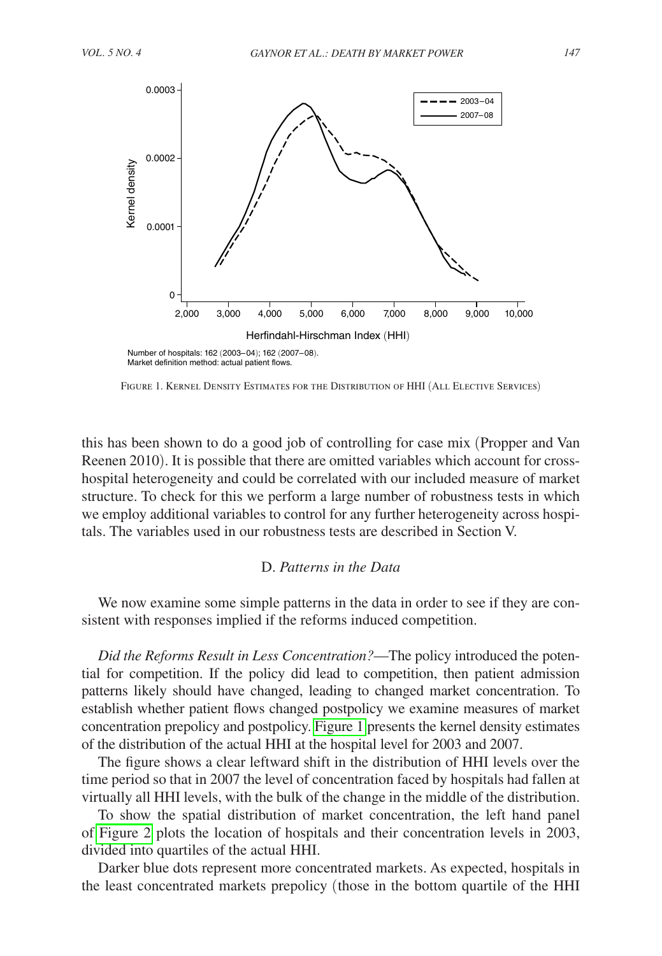

Figure 1. Kernel Density Estimates for the Distribution of Hhi (All Elective Services)

this has been shown to do a good job of controlling for case mix (Propper and Van Reenen 2010). It is possible that there are omitted variables which account for crosshospital heterogeneity and could be correlated with our included measure of market structure. To check for this we perform a large number of robustness tests in which we employ additional variables to control for any further heterogeneity across hospitals. The variables used in our robustness tests are described in Section V.

## D. *Patterns in the Data*

We now examine some simple patterns in the data in order to see if they are consistent with responses implied if the reforms induced competition.

*Did the Reforms Result in Less Concentration?*—The policy introduced the potential for competition. If the policy did lead to competition, then patient admission patterns likely should have changed, leading to changed market concentration. To establish whether patient flows changed postpolicy we examine measures of market concentration prepolicy and postpolicy. Figure 1 presents the kernel density estimates of the distribution of the actual HHI at the hospital level for 2003 and 2007.

The figure shows a clear leftward shift in the distribution of HHI levels over the time period so that in 2007 the level of concentration faced by hospitals had fallen at virtually all HHI levels, with the bulk of the change in the middle of the distribution.

To show the spatial distribution of market concentration, the left hand panel of [Figure 2](#page-14-0) plots the location of hospitals and their concentration levels in 2003, divided into quartiles of the actual HHI.

Darker blue dots represent more concentrated markets. As expected, hospitals in the least concentrated markets prepolicy (those in the bottom quartile of the HHI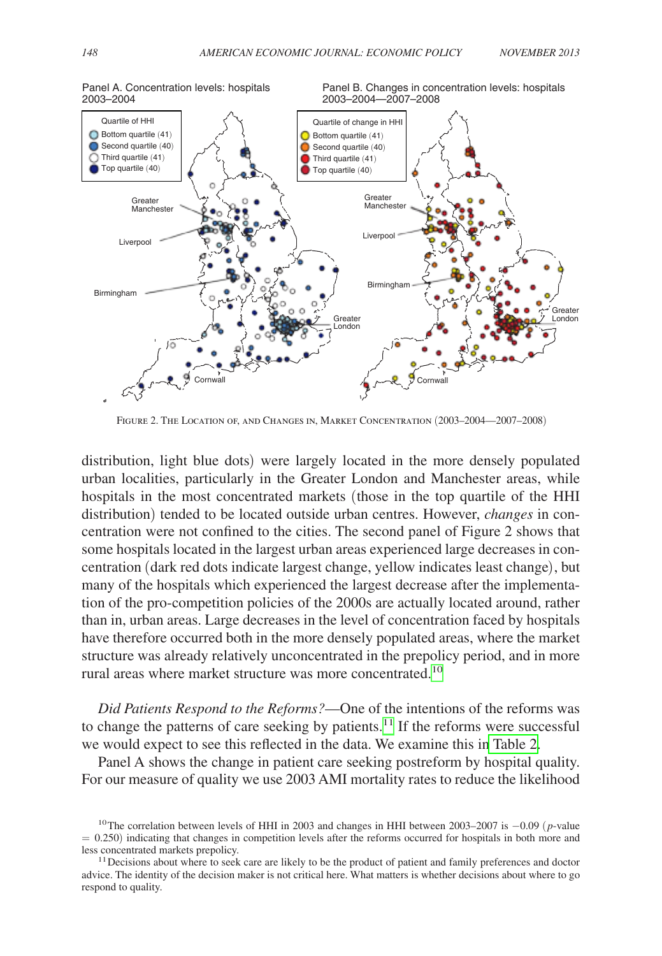<span id="page-14-0"></span>

Figure 2. The Location of, and Changes in, Market Concentration (2003–2004—2007–2008)

distribution, light blue dots) were largely located in the more densely populated urban localities, particularly in the Greater London and Manchester areas, while hospitals in the most concentrated markets (those in the top quartile of the HHI distribution) tended to be located outside urban centres. However, *changes* in concentration were not confined to the cities. The second panel of Figure 2 shows that some hospitals located in the largest urban areas experienced large decreases in concentration (dark red dots indicate largest change, yellow indicates least change), but many of the hospitals which experienced the largest decrease after the implementation of the pro-competition policies of the 2000s are actually located around, rather than in, urban areas. Large decreases in the level of concentration faced by hospitals have therefore occurred both in the more densely populated areas, where the market structure was already relatively unconcentrated in the prepolicy period, and in more rural areas where market structure was more concentrated.[10](#page-14-1)

*Did Patients Respond to the Reforms?*—One of the intentions of the reforms was to change the patterns of care seeking by patients.<sup>[11](#page-14-2)</sup> If the reforms were successful we would expect to see this reflected in the data. We examine this i[n Table 2.](#page-15-0)

Panel A shows the change in patient care seeking postreform by hospital quality. For our measure of quality we use 2003 AMI mortality rates to reduce the likelihood

<span id="page-14-1"></span><sup>10</sup>The correlation between levels of HHI in 2003 and changes in HHI between 2003–2007 is −0.09 (*p*-value = 0.250) indicating that changes in competition levels after the reforms occurred for hospitals in both more and less concentrated markets prepolicy.

<span id="page-14-2"></span> $11$  Decisions about where to seek care are likely to be the product of patient and family preferences and doctor advice. The identity of the decision maker is not critical here. What matters is whether decisions about where to go respond to quality.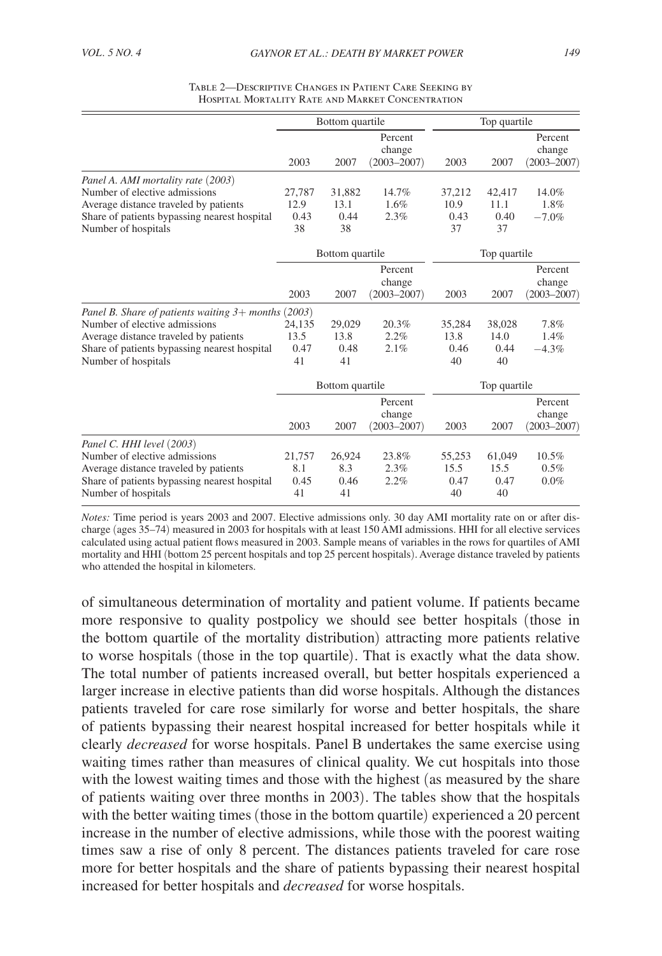<span id="page-15-0"></span>

|                                                       |        | Bottom quartile |                                      | Top quartile |              |                                      |
|-------------------------------------------------------|--------|-----------------|--------------------------------------|--------------|--------------|--------------------------------------|
|                                                       | 2003   | 2007            | Percent<br>change<br>$(2003 - 2007)$ | 2003         | 2007         | Percent<br>change<br>$(2003 - 2007)$ |
| Panel A. AMI mortality rate (2003)                    |        |                 |                                      |              |              |                                      |
| Number of elective admissions                         | 27,787 | 31,882          | 14.7%                                | 37,212       | 42,417       | 14.0%                                |
| Average distance traveled by patients                 | 12.9   | 13.1            | 1.6%                                 | 10.9         | 11.1         | 1.8%                                 |
| Share of patients bypassing nearest hospital          | 0.43   | 0.44            | 2.3%                                 | 0.43         | 0.40         | $-7.0%$                              |
| Number of hospitals                                   | 38     | 38              |                                      | 37           | 37           |                                      |
|                                                       |        | Bottom quartile |                                      |              | Top quartile |                                      |
|                                                       |        |                 | Percent                              |              |              | Percent                              |
|                                                       |        |                 | change                               |              |              | change                               |
|                                                       | 2003   | 2007            | $(2003 - 2007)$                      | 2003         | 2007         | $(2003 - 2007)$                      |
| Panel B. Share of patients waiting $3+$ months (2003) |        |                 |                                      |              |              |                                      |
| Number of elective admissions                         | 24,135 | 29,029          | 20.3%                                | 35,284       | 38,028       | 7.8%                                 |
| Average distance traveled by patients                 | 13.5   | 13.8            | 2.2%                                 | 13.8         | 14.0         | 1.4%                                 |
| Share of patients bypassing nearest hospital          | 0.47   | 0.48            | 2.1%                                 | 0.46         | 0.44         | $-4.3\%$                             |
| Number of hospitals                                   | 41     | 41              |                                      | 40           | 40           |                                      |
|                                                       |        | Bottom quartile |                                      |              | Top quartile |                                      |
|                                                       |        |                 | Percent                              |              |              | Percent                              |
|                                                       |        |                 | change                               |              |              | change                               |
|                                                       | 2003   | 2007            | $(2003 - 2007)$                      | 2003         | 2007         | $(2003 - 2007)$                      |
| Panel C. HHI level (2003)                             |        |                 |                                      |              |              |                                      |
| Number of elective admissions                         | 21,757 | 26,924          | 23.8%                                | 55,253       | 61,049       | 10.5%                                |
| Average distance traveled by patients                 | 8.1    | 8.3             | 2.3%                                 | 15.5         | 15.5         | 0.5%                                 |
| Share of patients bypassing nearest hospital          | 0.45   | 0.46            | 2.2%                                 | 0.47         | 0.47         | 0.0%                                 |
| Number of hospitals                                   | 41     | 41              |                                      | 40           | 40           |                                      |

| TABLE 2—DESCRIPTIVE CHANGES IN PATIENT CARE SEEKING BY |
|--------------------------------------------------------|
| HOSPITAL MORTALITY RATE AND MARKET CONCENTRATION       |

*Notes:* Time period is years 2003 and 2007. Elective admissions only. 30 day AMI mortality rate on or after discharge (ages 35–74) measured in 2003 for hospitals with at least 150 AMI admissions. HHI for all elective services calculated using actual patient flows measured in 2003. Sample means of variables in the rows for quartiles of AMI mortality and HHI (bottom 25 percent hospitals and top 25 percent hospitals). Average distance traveled by patients who attended the hospital in kilometers.

of simultaneous determination of mortality and patient volume. If patients became more responsive to quality postpolicy we should see better hospitals (those in the bottom quartile of the mortality distribution) attracting more patients relative to worse hospitals (those in the top quartile). That is exactly what the data show. The total number of patients increased overall, but better hospitals experienced a larger increase in elective patients than did worse hospitals. Although the distances patients traveled for care rose similarly for worse and better hospitals, the share of patients bypassing their nearest hospital increased for better hospitals while it clearly *decreased* for worse hospitals. Panel B undertakes the same exercise using waiting times rather than measures of clinical quality. We cut hospitals into those with the lowest waiting times and those with the highest (as measured by the share of patients waiting over three months in 2003). The tables show that the hospitals with the better waiting times (those in the bottom quartile) experienced a 20 percent increase in the number of elective admissions, while those with the poorest waiting times saw a rise of only 8 percent. The distances patients traveled for care rose more for better hospitals and the share of patients bypassing their nearest hospital increased for better hospitals and *decreased* for worse hospitals.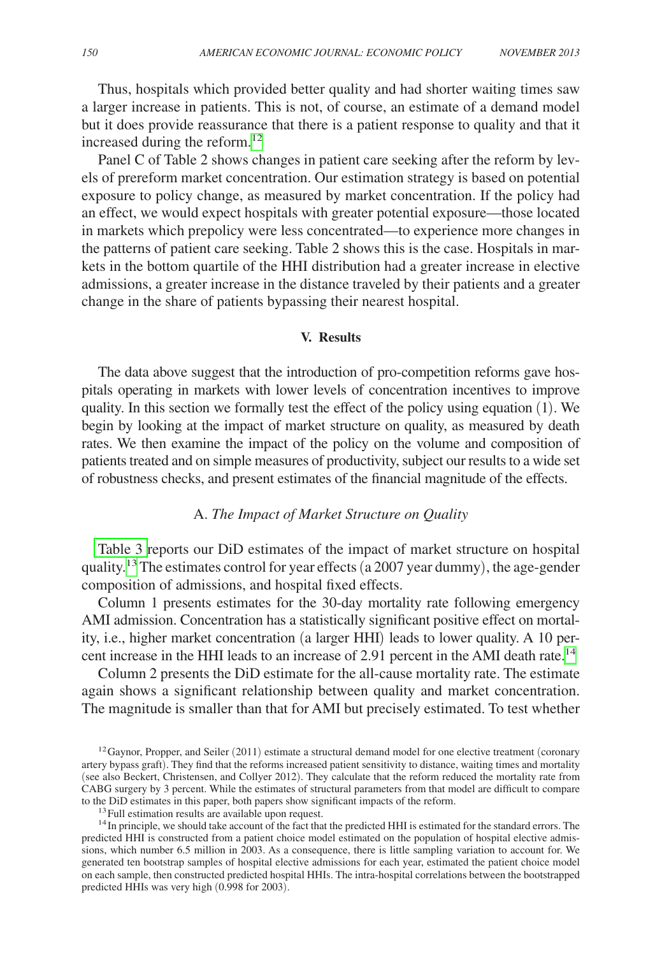Thus, hospitals which provided better quality and had shorter waiting times saw a larger increase in patients. This is not, of course, an estimate of a demand model but it does provide reassurance that there is a patient response to quality and that it increased during the reform.<sup>[12](#page-16-0)</sup>

Panel C of Table 2 shows changes in patient care seeking after the reform by levels of prereform market concentration. Our estimation strategy is based on potential exposure to policy change, as measured by market concentration. If the policy had an effect, we would expect hospitals with greater potential exposure—those located in markets which prepolicy were less concentrated—to experience more changes in the patterns of patient care seeking. Table 2 shows this is the case. Hospitals in markets in the bottom quartile of the HHI distribution had a greater increase in elective admissions, a greater increase in the distance traveled by their patients and a greater change in the share of patients bypassing their nearest hospital.

## **V. Results**

The data above suggest that the introduction of pro-competition reforms gave hospitals operating in markets with lower levels of concentration incentives to improve quality. In this section we formally test the effect of the policy using equation (1). We begin by looking at the impact of market structure on quality, as measured by death rates. We then examine the impact of the policy on the volume and composition of patients treated and on simple measures of productivity, subject our results to a wide set of robustness checks, and present estimates of the financial magnitude of the effects.

## A. *The Impact of Market Structure on Quality*

[Table 3](#page-17-0) reports our DiD estimates of the impact of market structure on hospital quality.[13](#page-16-1) The estimates control for year effects (a 2007 year dummy), the age-gender composition of admissions, and hospital fixed effects.

Column 1 presents estimates for the 30-day mortality rate following emergency AMI admission. Concentration has a statistically significant positive effect on mortality, i.e., higher market concentration (a larger HHI) leads to lower quality. A 10 per-cent increase in the HHI leads to an increase of 2.91 percent in the AMI death rate.<sup>[14](#page-16-2)</sup>

Column 2 presents the DiD estimate for the all-cause mortality rate. The estimate again shows a significant relationship between quality and market concentration. The magnitude is smaller than that for AMI but precisely estimated. To test whether

<span id="page-16-0"></span> $12G$ aynor, Propper, and Seiler (2011) estimate a structural demand model for one elective treatment (coronary artery bypass graft). They find that the reforms increased patient sensitivity to distance, waiting times and mortality (see also Beckert, Christensen, and Collyer 2012). They calculate that the reform reduced the mortality rate from CABG surgery by 3 percent. While the estimates of structural parameters from that model are difficult to compare to the DiD estimates in this paper, both papers show significant impacts of the reform.<br><sup>13</sup> Full estimation results are available upon request.<br><sup>14</sup> In principle, we should take account of the fact that the predicted HHI

<span id="page-16-2"></span><span id="page-16-1"></span>

predicted HHI is constructed from a patient choice model estimated on the population of hospital elective admissions, which number 6.5 million in 2003. As a consequence, there is little sampling variation to account for. We generated ten bootstrap samples of hospital elective admissions for each year, estimated the patient choice model on each sample, then constructed predicted hospital HHIs. The intra-hospital correlations between the bootstrapped predicted HHIs was very high (0.998 for 2003).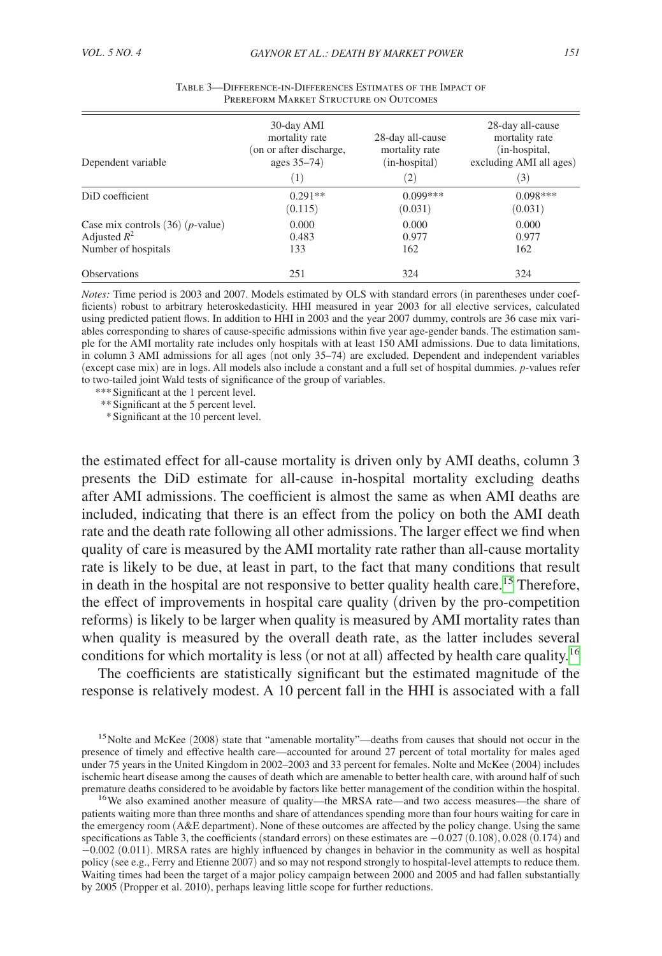<span id="page-17-0"></span>

| Dependent variable                          | 30-day AMI<br>mortality rate<br>(on or after discharge,<br>ages $35-74$ )<br>$\left(1\right)$ | 28-day all-cause<br>mortality rate<br>(in-hospital)<br>$\left( 2\right)$ | 28-day all-cause<br>mortality rate<br>(in-hospital,<br>excluding AMI all ages)<br>(3) |
|---------------------------------------------|-----------------------------------------------------------------------------------------------|--------------------------------------------------------------------------|---------------------------------------------------------------------------------------|
| D <sub>i</sub> D coefficient                | $0.291**$                                                                                     | $0.099***$                                                               | $0.098***$                                                                            |
|                                             | (0.115)                                                                                       | (0.031)                                                                  | (0.031)                                                                               |
| Case mix controls $(36)$ ( <i>p</i> -value) | 0.000                                                                                         | 0.000                                                                    | 0.000                                                                                 |
| Adjusted $R^2$                              | 0.483                                                                                         | 0.977                                                                    | 0.977                                                                                 |
| Number of hospitals                         | 133                                                                                           | 162                                                                      | 162                                                                                   |
| <b>Observations</b>                         | 251                                                                                           | 324                                                                      | 324                                                                                   |

| TABLE 3-DIFFERENCE-IN-DIFFERENCES ESTIMATES OF THE IMPACT OF |  |
|--------------------------------------------------------------|--|
| PREREFORM MARKET STRUCTURE ON OUTCOMES                       |  |

*Notes:* Time period is 2003 and 2007. Models estimated by OLS with standard errors (in parentheses under coefficients) robust to arbitrary heteroskedasticity. HHI measured in year 2003 for all elective services, calculated using predicted patient flows. In addition to HHI in 2003 and the year 2007 dummy, controls are 36 case mix variables corresponding to shares of cause-specific admissions within five year age-gender bands. The estimation sample for the AMI mortality rate includes only hospitals with at least 150 AMI admissions. Due to data limitations, in column 3 AMI admissions for all ages (not only 35–74) are excluded. Dependent and independent variables (except case mix) are in logs. All models also include a constant and a full set of hospital dummies. *p*-values refer to two-tailed joint Wald tests of significance of the group of variables.

\*\*\*Significant at the 1 percent level.

\*\*Significant at the 5 percent level.

\*Significant at the 10 percent level.

the estimated effect for all-cause mortality is driven only by AMI deaths, column 3 presents the DiD estimate for all-cause in-hospital mortality excluding deaths after AMI admissions. The coefficient is almost the same as when AMI deaths are included, indicating that there is an effect from the policy on both the AMI death rate and the death rate following all other admissions. The larger effect we find when quality of care is measured by the AMI mortality rate rather than all-cause mortality rate is likely to be due, at least in part, to the fact that many conditions that result in death in the hospital are not responsive to better quality health care.<sup>[15](#page-17-1)</sup> Therefore, the effect of improvements in hospital care quality (driven by the pro-competition reforms) is likely to be larger when quality is measured by AMI mortality rates than when quality is measured by the overall death rate, as the latter includes several conditions for which mortality is less (or not at all) affected by health care quality.[16](#page-17-2)

The coefficients are statistically significant but the estimated magnitude of the response is relatively modest. A 10 percent fall in the HHI is associated with a fall

<span id="page-17-1"></span><sup>15</sup>Nolte and McKee (2008) state that "amenable mortality"—deaths from causes that should not occur in the presence of timely and effective health care—accounted for around 27 percent of total mortality for males aged under 75 years in the United Kingdom in 2002–2003 and 33 percent for females. Nolte and McKee (2004) includes ischemic heart disease among the causes of death which are amenable to better health care, with around half of such premature deaths considered to be avoidable by factors like better management of the condition within the

<span id="page-17-2"></span><sup>16</sup>We also examined another measure of quality—the MRSA rate—and two access measures—the share of patients waiting more than three months and share of attendances spending more than four hours waiting for care in the emergency room (A&E department). None of these outcomes are affected by the policy change. Using the same specifications as Table 3, the coefficients (standard errors) on these estimates are −0.027 (0.108), 0.028 (0.174) and −0.002 (0.011). MRSA rates are highly influenced by changes in behavior in the community as well as hospital policy (see e.g., Ferry and Etienne 2007) and so may not respond strongly to hospital-level attempts to reduce them. Waiting times had been the target of a major policy campaign between 2000 and 2005 and had fallen substantially by 2005 (Propper et al. 2010), perhaps leaving little scope for further reductions.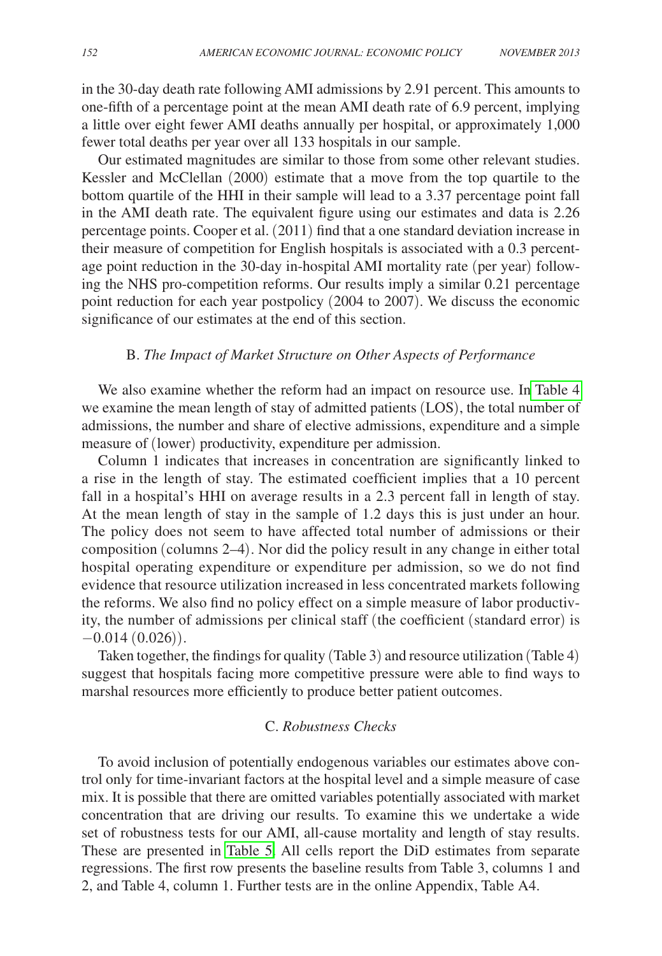in the 30-day death rate following AMI admissions by 2.91 percent. This amounts to one-fifth of a percentage point at the mean AMI death rate of 6.9 percent, implying a little over eight fewer AMI deaths annually per hospital, or approximately 1,000 fewer total deaths per year over all 133 hospitals in our sample.

Our estimated magnitudes are similar to those from some other relevant studies. Kessler and McClellan (2000) estimate that a move from the top quartile to the bottom quartile of the HHI in their sample will lead to a 3.37 percentage point fall in the AMI death rate. The equivalent figure using our estimates and data is 2.26 percentage points. Cooper et al. (2011) find that a one standard deviation increase in their measure of competition for English hospitals is associated with a 0.3 percentage point reduction in the 30-day in-hospital AMI mortality rate (per year) following the NHS pro-competition reforms. Our results imply a similar 0.21 percentage point reduction for each year postpolicy (2004 to 2007). We discuss the economic significance of our estimates at the end of this section.

## B. *The Impact of Market Structure on Other Aspects of Performance*

We also examine whether the reform had an impact on resource use. In [Table 4](#page-19-0)  we examine the mean length of stay of admitted patients (LOS), the total number of admissions, the number and share of elective admissions, expenditure and a simple measure of (lower) productivity, expenditure per admission.

Column 1 indicates that increases in concentration are significantly linked to a rise in the length of stay. The estimated coefficient implies that a 10 percent fall in a hospital's HHI on average results in a 2.3 percent fall in length of stay. At the mean length of stay in the sample of 1.2 days this is just under an hour. The policy does not seem to have affected total number of admissions or their composition (columns 2–4). Nor did the policy result in any change in either total hospital operating expenditure or expenditure per admission, so we do not find evidence that resource utilization increased in less concentrated markets following the reforms. We also find no policy effect on a simple measure of labor productivity, the number of admissions per clinical staff (the coefficient (standard error) is  $-0.014(0.026)$ .

Taken together, the findings for quality (Table 3) and resource utilization (Table 4) suggest that hospitals facing more competitive pressure were able to find ways to marshal resources more efficiently to produce better patient outcomes.

## C. *Robustness Checks*

To avoid inclusion of potentially endogenous variables our estimates above control only for time-invariant factors at the hospital level and a simple measure of case mix. It is possible that there are omitted variables potentially associated with market concentration that are driving our results. To examine this we undertake a wide set of robustness tests for our AMI, all-cause mortality and length of stay results. These are presented in [Table 5.](#page-20-0) All cells report the DiD estimates from separate regressions. The first row presents the baseline results from Table 3, columns 1 and 2, and Table 4, column 1. Further tests are in the online Appendix, Table A4.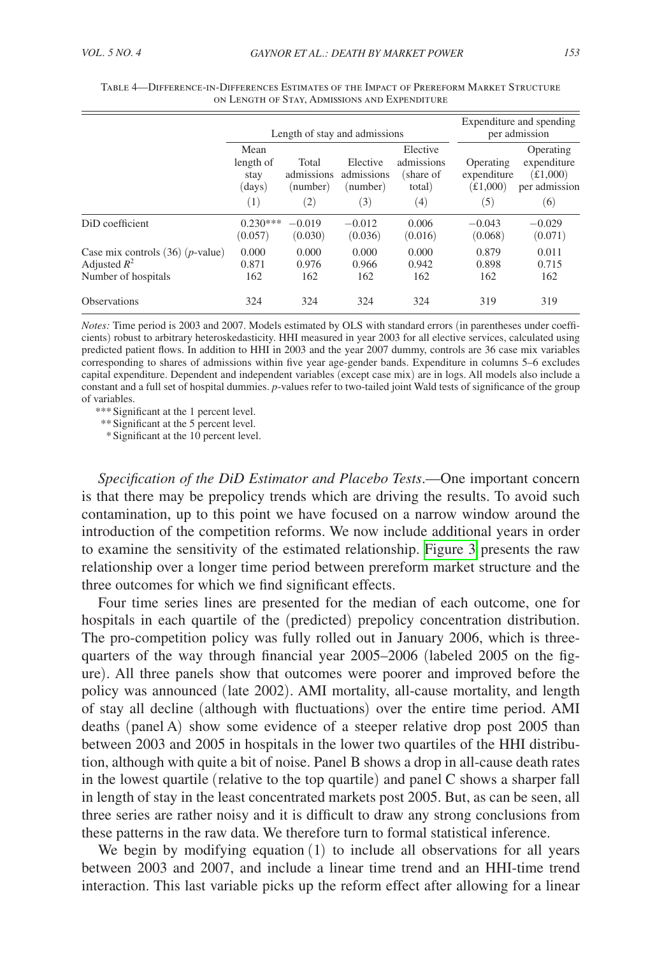|                                                                                      | Length of stay and admissions       |                                 |                                    |                                               | Expenditure and spending<br>per admission |                                                       |
|--------------------------------------------------------------------------------------|-------------------------------------|---------------------------------|------------------------------------|-----------------------------------------------|-------------------------------------------|-------------------------------------------------------|
|                                                                                      | Mean<br>length of<br>stay<br>(days) | Total<br>admissions<br>(number) | Elective<br>admissions<br>(number) | Elective<br>admissions<br>(share of<br>total) | Operating<br>expenditure<br>(E1,000)      | Operating<br>expenditure<br>(E1,000)<br>per admission |
|                                                                                      | (1)                                 | $\left( 2\right)$               | (3)                                | (4)                                           | (5)                                       | (6)                                                   |
| D <sub>i</sub> D coefficient                                                         | $0.230***$<br>(0.057)               | $-0.019$<br>(0.030)             | $-0.012$<br>(0.036)                | 0.006<br>(0.016)                              | $-0.043$<br>(0.068)                       | $-0.029$<br>(0.071)                                   |
| Case mix controls $(36)$ ( <i>p</i> -value)<br>Adjusted $R^2$<br>Number of hospitals | 0.000<br>0.871<br>162               | 0.000<br>0.976<br>162           | 0.000<br>0.966<br>162              | 0.000<br>0.942<br>162                         | 0.879<br>0.898<br>162                     | 0.011<br>0.715<br>162                                 |
| <b>Observations</b>                                                                  | 324                                 | 324                             | 324                                | 324                                           | 319                                       | 319                                                   |

<span id="page-19-0"></span>Table 4—Difference-in-Differences Estimates of the Impact of Prereform Market Structure on Length of Stay, Admissions and Expenditure

*Notes:* Time period is 2003 and 2007. Models estimated by OLS with standard errors (in parentheses under coefficients) robust to arbitrary heteroskedasticity. HHI measured in year 2003 for all elective services, calculated using predicted patient flows. In addition to HHI in 2003 and the year 2007 dummy, controls are 36 case mix variables corresponding to shares of admissions within five year age-gender bands. Expenditure in columns 5–6 excludes capital expenditure. Dependent and independent variables (except case mix) are in logs. All models also include a constant and a full set of hospital dummies. *p*-values refer to two-tailed joint Wald tests of significance of the group of variables.

\*\*\*Significant at the 1 percent level.

\*\*Significant at the 5 percent level.

\*Significant at the 10 percent level.

*Specification of the DiD Estimator and Placebo Tests*.—One important concern is that there may be prepolicy trends which are driving the results. To avoid such contamination, up to this point we have focused on a narrow window around the introduction of the competition reforms. We now include additional years in order to examine the sensitivity of the estimated relationship. [Figure 3](#page-22-0) presents the raw relationship over a longer time period between prereform market structure and the three outcomes for which we find significant effects.

Four time series lines are presented for the median of each outcome, one for hospitals in each quartile of the (predicted) prepolicy concentration distribution. The pro-competition policy was fully rolled out in January 2006, which is threequarters of the way through financial year 2005–2006 (labeled 2005 on the figure). All three panels show that outcomes were poorer and improved before the policy was announced (late 2002). AMI mortality, all-cause mortality, and length of stay all decline (although with fluctuations) over the entire time period. AMI deaths (panel A) show some evidence of a steeper relative drop post 2005 than between 2003 and 2005 in hospitals in the lower two quartiles of the HHI distribution, although with quite a bit of noise. Panel B shows a drop in all-cause death rates in the lowest quartile (relative to the top quartile) and panel C shows a sharper fall in length of stay in the least concentrated markets post 2005. But, as can be seen, all three series are rather noisy and it is difficult to draw any strong conclusions from these patterns in the raw data. We therefore turn to formal statistical inference.

We begin by modifying equation (1) to include all observations for all years between 2003 and 2007, and include a linear time trend and an HHI-time trend interaction. This last variable picks up the reform effect after allowing for a linear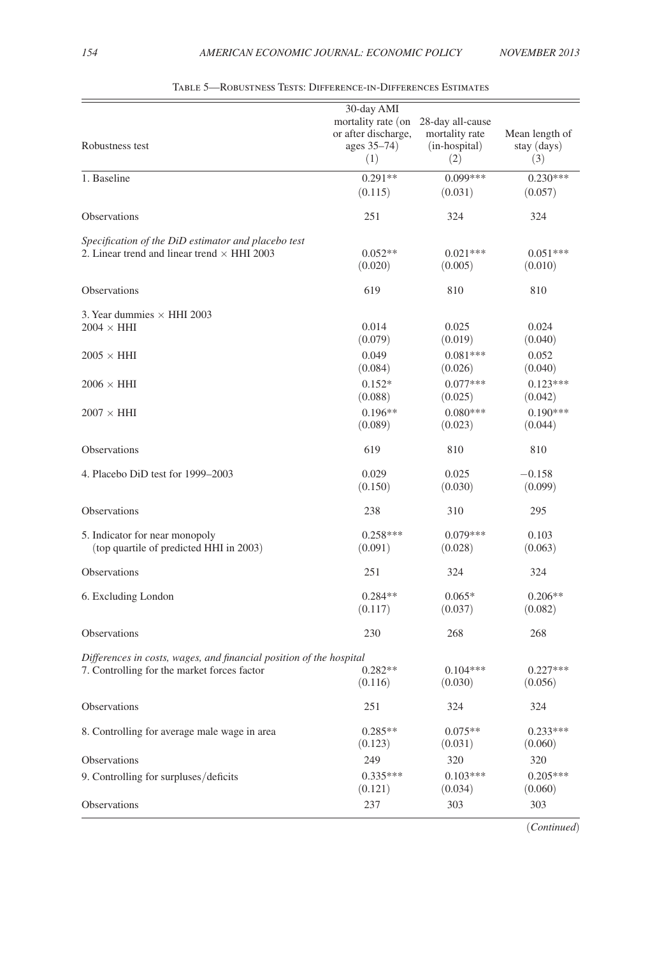<span id="page-20-0"></span>

| Robustness test                                                     | 30-day AMI<br>mortality rate (on 28-day all-cause<br>or after discharge,<br>ages 35–74)<br>(1) | mortality rate<br>(in-hospital)<br>(2) | Mean length of<br>stay (days)<br>(3) |
|---------------------------------------------------------------------|------------------------------------------------------------------------------------------------|----------------------------------------|--------------------------------------|
| 1. Baseline                                                         | $0.291**$                                                                                      | $0.099***$                             | $0.230***$                           |
|                                                                     | (0.115)                                                                                        | (0.031)                                | (0.057)                              |
| Observations                                                        | 251                                                                                            | 324                                    | 324                                  |
| Specification of the DiD estimator and placebo test                 | $0.052**$                                                                                      | $0.021***$                             | $0.051***$                           |
| 2. Linear trend and linear trend $\times$ HHI 2003                  | (0.020)                                                                                        | (0.005)                                | (0.010)                              |
| Observations                                                        | 619                                                                                            | 810                                    | 810                                  |
| 3. Year dummies $\times$ HHI 2003                                   | 0.014                                                                                          | 0.025                                  | 0.024                                |
| $2004 \times HHI$                                                   | (0.079)                                                                                        | (0.019)                                | (0.040)                              |
| $2005 \times HHI$                                                   | 0.049                                                                                          | $0.081***$                             | 0.052                                |
|                                                                     | (0.084)                                                                                        | (0.026)                                | (0.040)                              |
| $2006 \times HHI$                                                   | $0.152*$                                                                                       | $0.077***$                             | $0.123***$                           |
|                                                                     | (0.088)                                                                                        | (0.025)                                | (0.042)                              |
| $2007 \times HHI$                                                   | $0.196**$                                                                                      | $0.080***$                             | $0.190***$                           |
|                                                                     | (0.089)                                                                                        | (0.023)                                | (0.044)                              |
| Observations                                                        | 619                                                                                            | 810                                    | 810                                  |
| 4. Placebo DiD test for 1999–2003                                   | 0.029                                                                                          | 0.025                                  | $-0.158$                             |
|                                                                     | (0.150)                                                                                        | (0.030)                                | (0.099)                              |
| Observations                                                        | 238                                                                                            | 310                                    | 295                                  |
| 5. Indicator for near monopoly                                      | $0.258***$                                                                                     | $0.079***$                             | 0.103                                |
| (top quartile of predicted HHI in 2003)                             | (0.091)                                                                                        | (0.028)                                | (0.063)                              |
| <b>Observations</b>                                                 | 251                                                                                            | 324                                    | 324                                  |
| 6. Excluding London                                                 | $0.284**$                                                                                      | $0.065*$                               | $0.206**$                            |
|                                                                     | (0.117)                                                                                        | (0.037)                                | (0.082)                              |
| Observations                                                        | 230                                                                                            | 268                                    | 268                                  |
| Differences in costs, wages, and financial position of the hospital | $0.282**$                                                                                      | $0.104***$                             | $0.227***$                           |
| 7. Controlling for the market forces factor                         | (0.116)                                                                                        | (0.030)                                | (0.056)                              |
| <b>Observations</b>                                                 | 251                                                                                            | 324                                    | 324                                  |
| 8. Controlling for average male wage in area                        | $0.285**$                                                                                      | $0.075**$                              | $0.233***$                           |
|                                                                     | (0.123)                                                                                        | (0.031)                                | (0.060)                              |
| Observations                                                        | 249                                                                                            | 320                                    | 320                                  |
| 9. Controlling for surpluses/deficits                               | $0.335***$                                                                                     | $0.103***$                             | $0.205***$                           |
|                                                                     | (0.121)                                                                                        | (0.034)                                | (0.060)                              |
| Observations                                                        | 237                                                                                            | 303                                    | 303                                  |

Table 5—Robustness Tests: Difference-in-Differences Estimates

(*Continued*)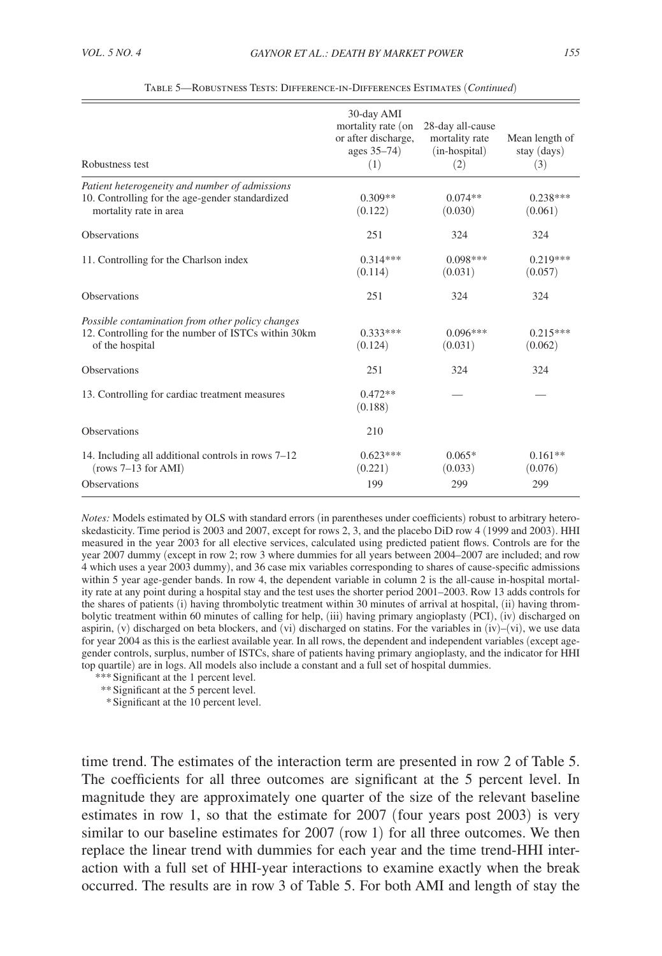| Robustness test                                                                                                             | 30-day AMI<br>mortality rate (on<br>or after discharge,<br>ages 35-74)<br>(1) | 28-day all-cause<br>mortality rate<br>(in-hospital)<br>(2) | Mean length of<br>stay (days)<br>(3) |
|-----------------------------------------------------------------------------------------------------------------------------|-------------------------------------------------------------------------------|------------------------------------------------------------|--------------------------------------|
| Patient heterogeneity and number of admissions<br>10. Controlling for the age-gender standardized<br>mortality rate in area | $0.309**$<br>(0.122)                                                          | $0.074**$<br>(0.030)                                       | $0.238***$<br>(0.061)                |
| Observations                                                                                                                | 251                                                                           | 324                                                        | 324                                  |
| 11. Controlling for the Charlson index                                                                                      | $0.314***$<br>(0.114)                                                         | $0.098***$<br>(0.031)                                      | $0.219***$<br>(0.057)                |
| <b>Observations</b>                                                                                                         | 251                                                                           | 324                                                        | 324                                  |
| Possible contamination from other policy changes<br>12. Controlling for the number of ISTCs within 30km<br>of the hospital  | $0.333***$<br>(0.124)                                                         | $0.096***$<br>(0.031)                                      | $0.215***$<br>(0.062)                |
| Observations                                                                                                                | 251                                                                           | 324                                                        | 324                                  |
| 13. Controlling for cardiac treatment measures                                                                              | $0.472**$<br>(0.188)                                                          |                                                            |                                      |
| <b>Observations</b>                                                                                                         | 210                                                                           |                                                            |                                      |
| 14. Including all additional controls in rows 7–12<br>$(\text{rows } 7-13 \text{ for AMI})$                                 | $0.623***$<br>(0.221)                                                         | $0.065*$<br>(0.033)                                        | $0.161**$<br>(0.076)                 |
| <b>Observations</b>                                                                                                         | 199                                                                           | 299                                                        | 299                                  |

Table 5—Robustness Tests: Difference-in-Differences Estimates (*Continued*)

*Notes:* Models estimated by OLS with standard errors (in parentheses under coefficients) robust to arbitrary heteroskedasticity. Time period is 2003 and 2007, except for rows 2, 3, and the placebo DiD row 4 (1999 and 2003). HHI measured in the year 2003 for all elective services, calculated using predicted patient flows. Controls are for the year 2007 dummy (except in row 2; row 3 where dummies for all years between 2004–2007 are included; and row 4 which uses a year 2003 dummy), and 36 case mix variables corresponding to shares of cause-specific admissions within 5 year age-gender bands. In row 4, the dependent variable in column 2 is the all-cause in-hospital mortality rate at any point during a hospital stay and the test uses the shorter period 2001–2003. Row 13 adds controls for the shares of patients (i) having thrombolytic treatment within 30 minutes of arrival at hospital, (ii) having thrombolytic treatment within 60 minutes of calling for help, (iii) having primary angioplasty (PCI), (iv) discharged on aspirin, (v) discharged on beta blockers, and (vi) discharged on statins. For the variables in (iv)–(vi), we use data for year 2004 as this is the earliest available year. In all rows, the dependent and independent variables (except agegender controls, surplus, number of ISTCs, share of patients having primary angioplasty, and the indicator for HHI top quartile) are in logs. All models also include a constant and a full set of hospital dummies.

\*\*\* Significant at the 1 percent level.

\*\*Significant at the 5 percent level.

\*Significant at the 10 percent level.

time trend. The estimates of the interaction term are presented in row 2 of Table 5. The coefficients for all three outcomes are significant at the 5 percent level. In magnitude they are approximately one quarter of the size of the relevant baseline estimates in row 1, so that the estimate for 2007 (four years post 2003) is very similar to our baseline estimates for 2007 (row 1) for all three outcomes. We then replace the linear trend with dummies for each year and the time trend-HHI interaction with a full set of HHI-year interactions to examine exactly when the break occurred. The results are in row 3 of Table 5. For both AMI and length of stay the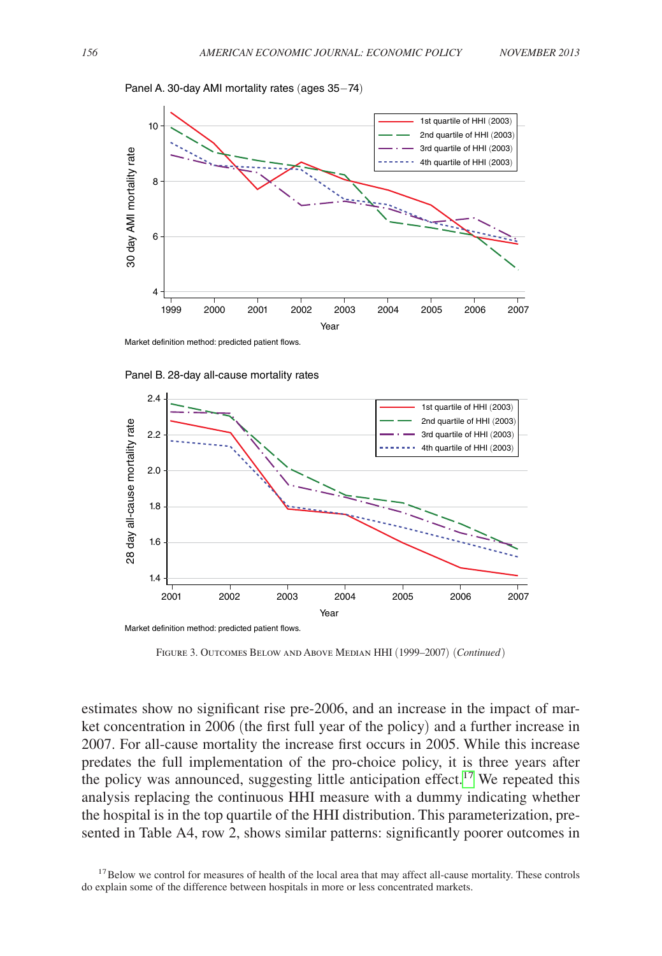<span id="page-22-0"></span>



Market definition method: predicted patient flows.



Panel B. 28-day all-cause mortality rates

Figure 3. Outcomes Below and Above Median Hhi (1999–2007) (*Continued*)

estimates show no significant rise pre-2006, and an increase in the impact of market concentration in 2006 (the first full year of the policy) and a further increase in 2007. For all-cause mortality the increase first occurs in 2005. While this increase predates the full implementation of the pro-choice policy, it is three years after the policy was announced, suggesting little anticipation effect.<sup>[17](#page-22-1)</sup> We repeated this analysis replacing the continuous HHI measure with a dummy indicating whether the hospital is in the top quartile of the HHI distribution. This parameterization, presented in Table A4, row 2, shows similar patterns: significantly poorer outcomes in  $\begin{bmatrix} 0 \\ \text{S} \\ \text{C} \\ \text{S} \\ 1 \end{bmatrix}$  $\eta$  and a further

<span id="page-22-1"></span><sup>17</sup> Below we control for measures of health of the local area that may affect all-cause mortality. These controls do explain some of the difference between hospitals in more or less concentrated markets. 1999 2000 2001 2002 2003 2004 2005 2006 2007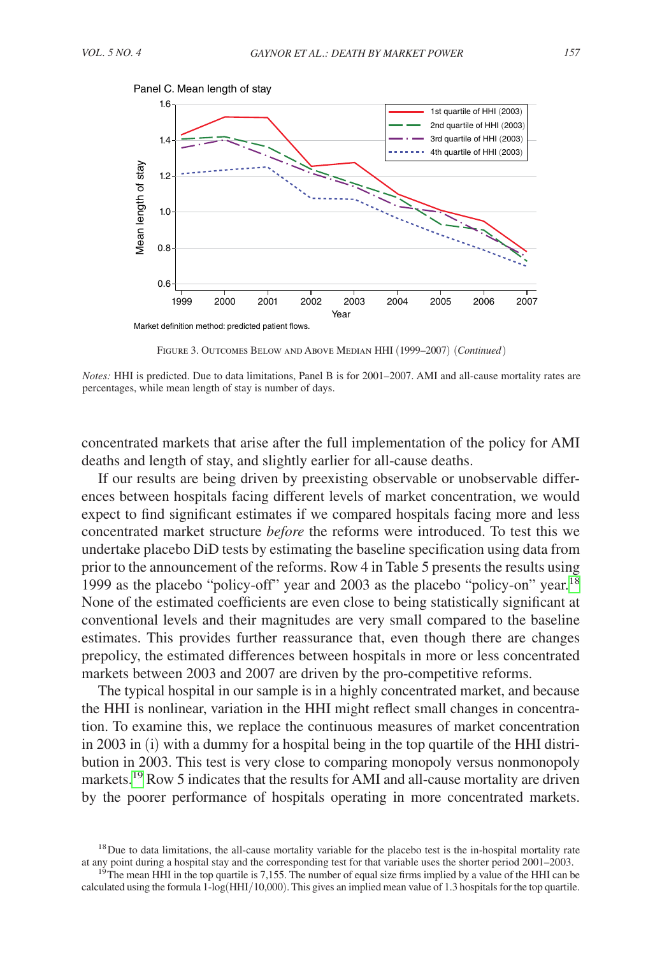

Figure 3. Outcomes Below and Above Median Hhi (1999–2007) (*Continued*)

*Notes:* HHI is predicted. Due to data limitations, Panel B is for 2001–2007. AMI and all-cause mortality rates are percentages, while mean length of stay is number of days.

concentrated markets that arise after the full implementation of the policy for AMI deaths and length of stay, and slightly earlier for all-cause deaths.

If our results are being driven by preexisting observable or unobservable differences between hospitals facing different levels of market concentration, we would expect to find significant estimates if we compared hospitals facing more and less concentrated market structure *before* the reforms were introduced. To test this we undertake placebo DiD tests by estimating the baseline specification using data from prior to the announcement of the reforms. Row 4 in Table 5 presents the results using 1999 as the placebo "policy-off" year and 2003 as the placebo "policy-on" year.[18](#page-23-0) None of the estimated coefficients are even close to being statistically significant at conventional levels and their magnitudes are very small compared to the baseline estimates. This provides further reassurance that, even though there are changes prepolicy, the estimated differences between hospitals in more or less concentrated markets between 2003 and 2007 are driven by the pro-competitive reforms.

The typical hospital in our sample is in a highly concentrated market, and because the HHI is nonlinear, variation in the HHI might reflect small changes in concentration. To examine this, we replace the continuous measures of market concentration in 2003 in (i) with a dummy for a hospital being in the top quartile of the HHI distribution in 2003. This test is very close to comparing monopoly versus nonmonopoly markets.<sup>19</sup> Row 5 indicates that the results for AMI and all-cause mortality are driven by the poorer performance of hospitals operating in more concentrated markets.

<span id="page-23-0"></span><sup>18</sup>Due to data limitations, the all-cause mortality variable for the placebo test is the in-hospital mortality rate at any point during a hospital stay and the corresponding test for that variable uses the shorter period  $2001-2003$ .<br><sup>19</sup>The mean HHI in the top quartile is 7,155. The number of equal size firms implied by a value of the

<span id="page-23-1"></span>calculated using the formula 1-log(HHI/10,000). This gives an implied mean value of 1.3 hospitals for the top quartile.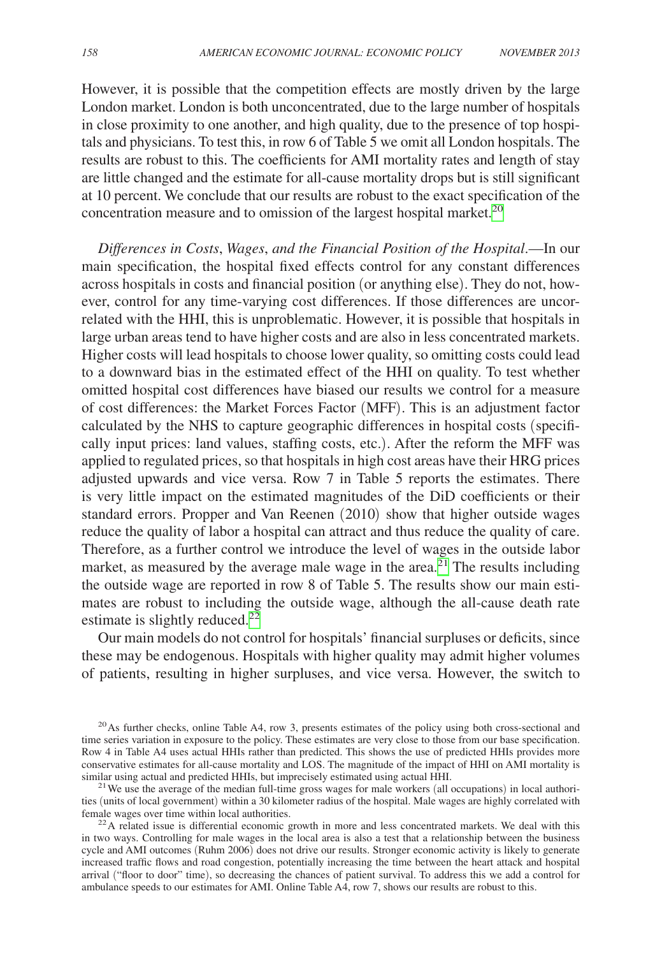However, it is possible that the competition effects are mostly driven by the large London market. London is both unconcentrated, due to the large number of hospitals in close proximity to one another, and high quality, due to the presence of top hospitals and physicians. To test this, in row 6 of Table 5 we omit all London hospitals. The results are robust to this. The coefficients for AMI mortality rates and length of stay are little changed and the estimate for all-cause mortality drops but is still significant at 10 percent. We conclude that our results are robust to the exact specification of the concentration measure and to omission of the largest hospital market.<sup>20</sup>

*Differences in Costs*, *Wages*, *and the Financial Position of the Hospital*.—In our main specification, the hospital fixed effects control for any constant differences across hospitals in costs and financial position (or anything else). They do not, however, control for any time-varying cost differences. If those differences are uncorrelated with the HHI, this is unproblematic. However, it is possible that hospitals in large urban areas tend to have higher costs and are also in less concentrated markets. Higher costs will lead hospitals to choose lower quality, so omitting costs could lead to a downward bias in the estimated effect of the HHI on quality. To test whether omitted hospital cost differences have biased our results we control for a measure of cost differences: the Market Forces Factor (MFF). This is an adjustment factor calculated by the NHS to capture geographic differences in hospital costs (specifically input prices: land values, staffing costs, etc.). After the reform the MFF was applied to regulated prices, so that hospitals in high cost areas have their HRG prices adjusted upwards and vice versa. Row 7 in Table 5 reports the estimates. There is very little impact on the estimated magnitudes of the DiD coefficients or their standard errors. Propper and Van Reenen (2010) show that higher outside wages reduce the quality of labor a hospital can attract and thus reduce the quality of care. Therefore, as a further control we introduce the level of wages in the outside labor market, as measured by the average male wage in the area.<sup>21</sup> The results including the outside wage are reported in row 8 of Table 5. The results show our main estimates are robust to including the outside wage, although the all-cause death rate estimate is slightly reduced.<sup>[22](#page-24-2)</sup>

Our main models do not control for hospitals' financial surpluses or deficits, since these may be endogenous. Hospitals with higher quality may admit higher volumes of patients, resulting in higher surpluses, and vice versa. However, the switch to

<span id="page-24-0"></span><sup>20</sup>As further checks, online Table A4, row 3, presents estimates of the policy using both cross-sectional and time series variation in exposure to the policy. These estimates are very close to those from our base specification. Row 4 in Table A4 uses actual HHIs rather than predicted. This shows the use of predicted HHIs provides more conservative estimates for all-cause mortality and LOS. The magnitude of the impact of HHI on AMI mortality is similar using actual and predicted HHIs, but imprecisely estimated using actual HHI.<br><sup>21</sup>We use the average of the median full-time gross wages for male workers (all occupations) in local authori-

<span id="page-24-1"></span>ties (units of local government) within a 30 kilometer radius of the hospital. Male wages are highly correlated with

<span id="page-24-2"></span> $^{22}$ A related issue is differential economic growth in more and less concentrated markets. We deal with this in two ways. Controlling for male wages in the local area is also a test that a relationship between the business cycle and AMI outcomes (Ruhm 2006) does not drive our results. Stronger economic activity is likely to generate increased traffic flows and road congestion, potentially increasing the time between the heart attack and hospital arrival ("floor to door" time), so decreasing the chances of patient survival. To address this we add a control for ambulance speeds to our estimates for AMI. Online Table A4, row 7, shows our results are robust to this.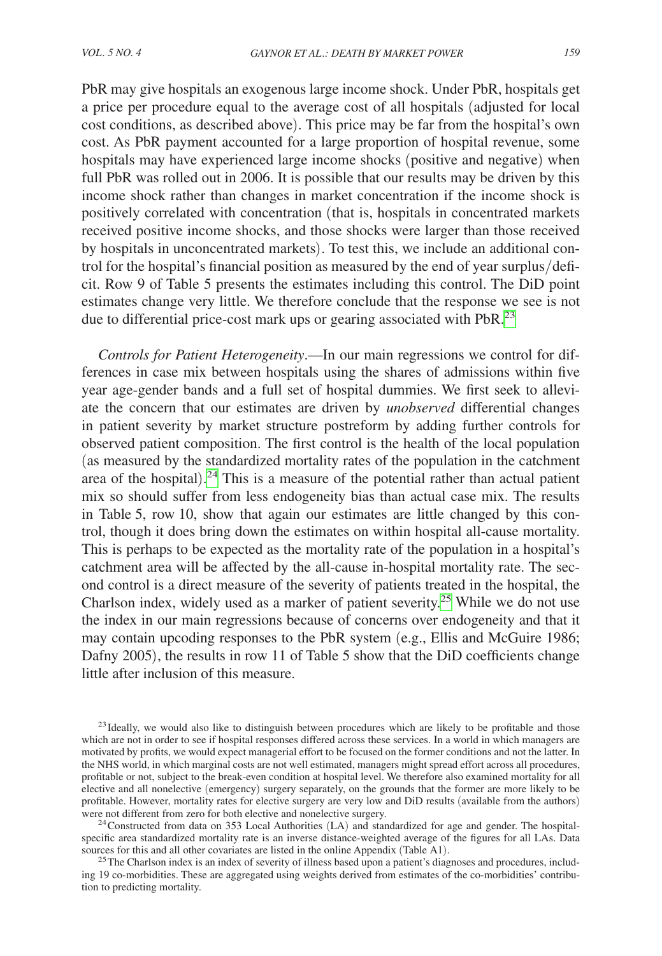PbR may give hospitals an exogenous large income shock. Under PbR, hospitals get a price per procedure equal to the average cost of all hospitals (adjusted for local cost conditions, as described above). This price may be far from the hospital's own cost. As PbR payment accounted for a large proportion of hospital revenue, some hospitals may have experienced large income shocks (positive and negative) when full PbR was rolled out in 2006. It is possible that our results may be driven by this income shock rather than changes in market concentration if the income shock is positively correlated with concentration (that is, hospitals in concentrated markets received positive income shocks, and those shocks were larger than those received by hospitals in unconcentrated markets). To test this, we include an additional control for the hospital's financial position as measured by the end of year surplus/deficit. Row 9 of Table 5 presents the estimates including this control. The DiD point estimates change very little. We therefore conclude that the response we see is not due to differential price-cost mark ups or gearing associated with PbR.<sup>23</sup>

*Controls for Patient Heterogeneity*.—In our main regressions we control for differences in case mix between hospitals using the shares of admissions within five year age-gender bands and a full set of hospital dummies. We first seek to alleviate the concern that our estimates are driven by *unobserved* differential changes in patient severity by market structure postreform by adding further controls for observed patient composition. The first control is the health of the local population (as measured by the standardized mortality rates of the population in the catchment area of the hospital). [24](#page-25-1) This is a measure of the potential rather than actual patient mix so should suffer from less endogeneity bias than actual case mix. The results in Table 5, row 10, show that again our estimates are little changed by this control, though it does bring down the estimates on within hospital all-cause mortality. This is perhaps to be expected as the mortality rate of the population in a hospital's catchment area will be affected by the all-cause in-hospital mortality rate. The second control is a direct measure of the severity of patients treated in the hospital, the Charlson index, widely used as a marker of patient severity.[25](#page-25-2) While we do not use the index in our main regressions because of concerns over endogeneity and that it may contain upcoding responses to the PbR system (e.g., Ellis and McGuire 1986; Dafny 2005), the results in row 11 of Table 5 show that the DiD coefficients change little after inclusion of this measure.

<span id="page-25-0"></span><sup>23</sup>Ideally, we would also like to distinguish between procedures which are likely to be profitable and those which are not in order to see if hospital responses differed across these services. In a world in which managers are motivated by profits, we would expect managerial effort to be focused on the former conditions and not the latter. In the NHS world, in which marginal costs are not well estimated, managers might spread effort across all procedures, profitable or not, subject to the break-even condition at hospital level. We therefore also examined mortality for all elective and all nonelective (emergency) surgery separately, on the grounds that the former are more likely to be profitable. However, mortality rates for elective surgery are very low and DiD results (available from the authors)

<span id="page-25-1"></span> $^{24}$ Constructed from data on 353 Local Authorities (LA) and standardized for age and gender. The hospitalspecific area standardized mortality rate is an inverse distance-weighted average of the figures for all LAs. Data sources for this and all other covariates are listed in the online Appendix (Table A1).

<span id="page-25-2"></span> $25$ The Charlson index is an index of severity of illness based upon a patient's diagnoses and procedures, including 19 co-morbidities. These are aggregated using weights derived from estimates of the co-morbidities' contribution to predicting mortality.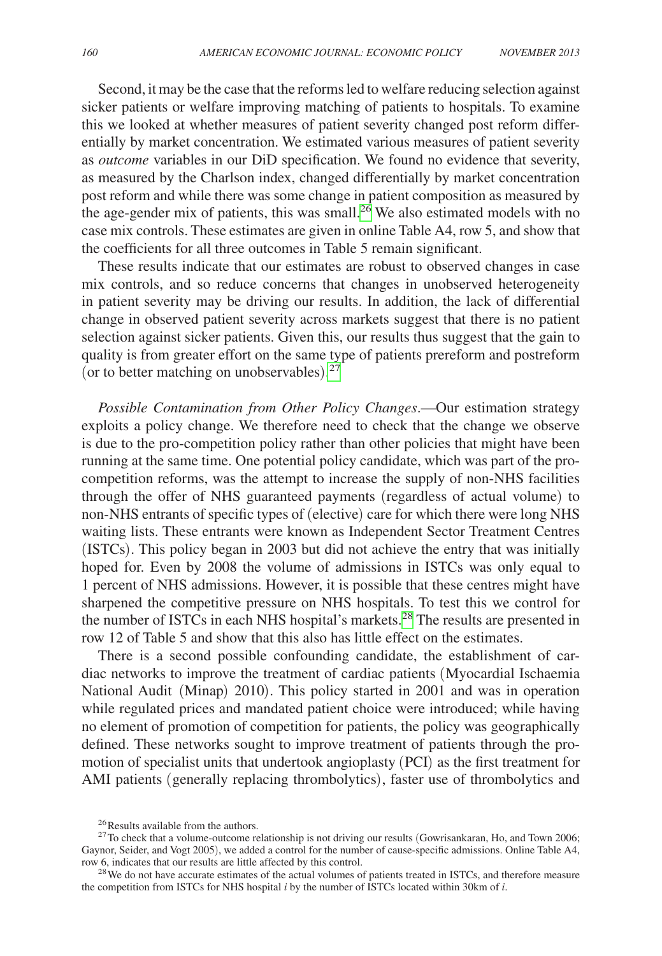Second, it may be the case that the reforms led to welfare reducing selection against sicker patients or welfare improving matching of patients to hospitals. To examine this we looked at whether measures of patient severity changed post reform differentially by market concentration. We estimated various measures of patient severity as *outcome* variables in our DiD specification. We found no evidence that severity, as measured by the Charlson index, changed differentially by market concentration post reform and while there was some change in patient composition as measured by the age-gender mix of patients, this was small.<sup>26</sup> We also estimated models with no case mix controls. These estimates are given in online Table A4, row 5, and show that the coefficients for all three outcomes in Table 5 remain significant.

These results indicate that our estimates are robust to observed changes in case mix controls, and so reduce concerns that changes in unobserved heterogeneity in patient severity may be driving our results. In addition, the lack of differential change in observed patient severity across markets suggest that there is no patient selection against sicker patients. Given this, our results thus suggest that the gain to quality is from greater effort on the same type of patients prereform and postreform (or to better matching on unobservables). $27$ 

*Possible Contamination from Other Policy Changes*.—Our estimation strategy exploits a policy change. We therefore need to check that the change we observe is due to the pro-competition policy rather than other policies that might have been running at the same time. One potential policy candidate, which was part of the procompetition reforms, was the attempt to increase the supply of non-NHS facilities through the offer of NHS guaranteed payments (regardless of actual volume) to non-NHS entrants of specific types of (elective) care for which there were long NHS waiting lists. These entrants were known as Independent Sector Treatment Centres (ISTCs). This policy began in 2003 but did not achieve the entry that was initially hoped for. Even by 2008 the volume of admissions in ISTCs was only equal to 1 percent of NHS admissions. However, it is possible that these centres might have sharpened the competitive pressure on NHS hospitals. To test this we control for the number of ISTCs in each NHS hospital's markets.[28](#page-26-2) The results are presented in row 12 of Table 5 and show that this also has little effect on the estimates.

There is a second possible confounding candidate, the establishment of cardiac networks to improve the treatment of cardiac patients (Myocardial Ischaemia National Audit (Minap) 2010). This policy started in 2001 and was in operation while regulated prices and mandated patient choice were introduced; while having no element of promotion of competition for patients, the policy was geographically defined. These networks sought to improve treatment of patients through the promotion of specialist units that undertook angioplasty (PCI) as the first treatment for AMI patients (generally replacing thrombolytics), faster use of thrombolytics and

<span id="page-26-1"></span><span id="page-26-0"></span>

<sup>&</sup>lt;sup>26</sup> Results available from the authors.<br><sup>27</sup>To check that a volume-outcome relationship is not driving our results (Gowrisankaran, Ho, and Town 2006; Gaynor, Seider, and Vogt 2005), we added a control for the number of cause-specific admissions. Online Table A4, row 6, indicates that our results are little affected by this control.

<span id="page-26-2"></span><sup>&</sup>lt;sup>28</sup>We do not have accurate estimates of the actual volumes of patients treated in ISTCs, and therefore measure the competition from ISTCs for NHS hospital *i* by the number of ISTCs located within 30km of *i*.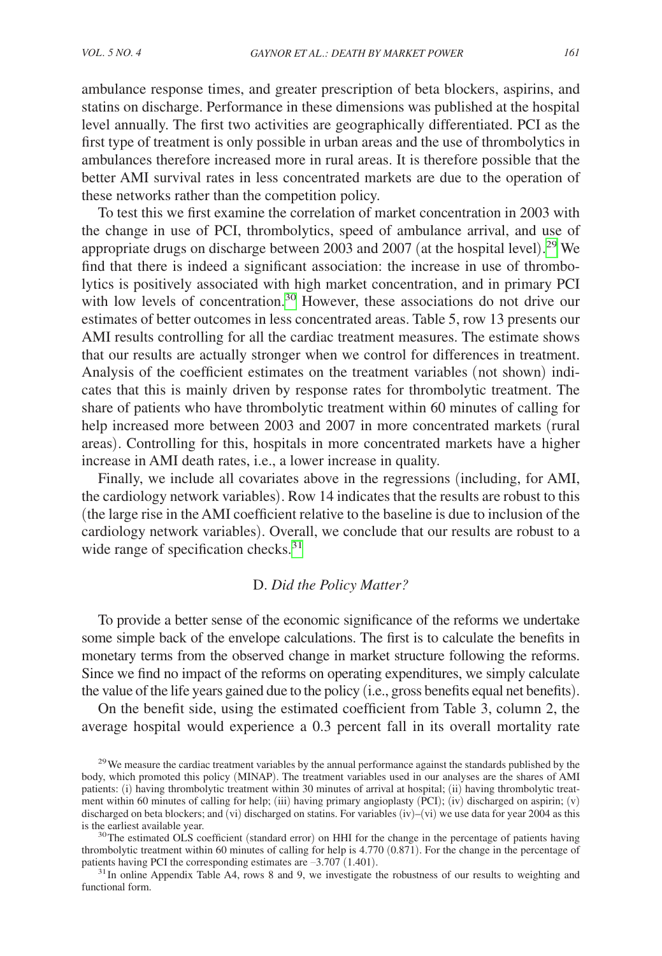ambulance response times, and greater prescription of beta blockers, aspirins, and statins on discharge. Performance in these dimensions was published at the hospital level annually. The first two activities are geographically differentiated. PCI as the first type of treatment is only possible in urban areas and the use of thrombolytics in ambulances therefore increased more in rural areas. It is therefore possible that the better AMI survival rates in less concentrated markets are due to the operation of these networks rather than the competition policy.

To test this we first examine the correlation of market concentration in 2003 with the change in use of PCI, thrombolytics, speed of ambulance arrival, and use of appropriate drugs on discharge between 2003 and 2007 (at the hospital level). [29](#page-27-0) We find that there is indeed a significant association: the increase in use of thrombolytics is positively associated with high market concentration, and in primary PCI with low levels of concentration.<sup>30</sup> However, these associations do not drive our estimates of better outcomes in less concentrated areas. Table 5, row 13 presents our AMI results controlling for all the cardiac treatment measures. The estimate shows that our results are actually stronger when we control for differences in treatment. Analysis of the coefficient estimates on the treatment variables (not shown) indicates that this is mainly driven by response rates for thrombolytic treatment. The share of patients who have thrombolytic treatment within 60 minutes of calling for help increased more between 2003 and 2007 in more concentrated markets (rural areas). Controlling for this, hospitals in more concentrated markets have a higher increase in AMI death rates, i.e., a lower increase in quality.

Finally, we include all covariates above in the regressions (including, for AMI, the cardiology network variables). Row 14 indicates that the results are robust to this (the large rise in the AMI coefficient relative to the baseline is due to inclusion of the cardiology network variables). Overall, we conclude that our results are robust to a wide range of specification checks.<sup>31</sup>

#### D. *Did the Policy Matter?*

To provide a better sense of the economic significance of the reforms we undertake some simple back of the envelope calculations. The first is to calculate the benefits in monetary terms from the observed change in market structure following the reforms. Since we find no impact of the reforms on operating expenditures, we simply calculate the value of the life years gained due to the policy (i.e., gross benefits equal net benefits).

On the benefit side, using the estimated coefficient from Table 3, column 2, the average hospital would experience a 0.3 percent fall in its overall mortality rate

<span id="page-27-0"></span><sup>&</sup>lt;sup>29</sup>We measure the cardiac treatment variables by the annual performance against the standards published by the body, which promoted this policy (MINAP). The treatment variables used in our analyses are the shares of AMI patients: (i) having thrombolytic treatment within 30 minutes of arrival at hospital; (ii) having thrombolytic treatment within 60 minutes of calling for help; (iii) having primary angioplasty (PCI); (iv) discharged on aspirin; (v) discharged on beta blockers; and (vi) discharged on statins. For variables (iv)–(vi) we use data for year 2004 as this is the earliest available year.

<span id="page-27-1"></span> $\frac{30}{30}$ The estimated OLS coefficient (standard error) on HHI for the change in the percentage of patients having thrombolytic treatment within 60 minutes of calling for help is 4.770 (0.871). For the change in the percentage of patients having PCI the corresponding estimates are  $-3.707$  (1.401).

<span id="page-27-2"></span> $31$  In online Appendix Table A4, rows 8 and 9, we investigate the robustness of our results to weighting and functional form.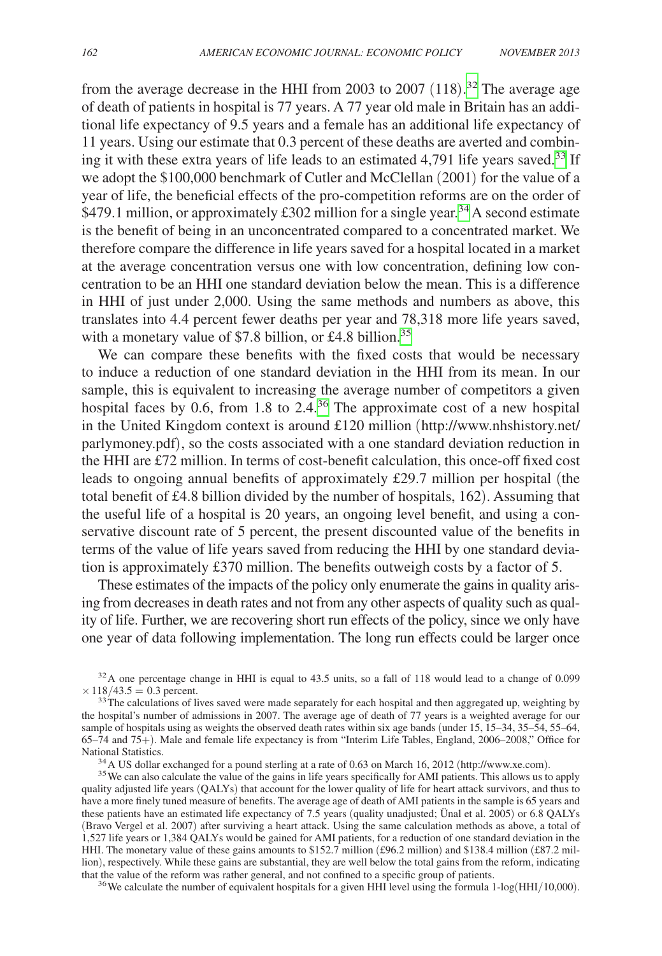from the average decrease in the HHI from 2003 to 2007  $(118).^{32}$  The average age of death of patients in hospital is 77 years. A 77 year old male in Britain has an additional life expectancy of 9.5 years and a female has an additional life expectancy of 11 years. Using our estimate that 0.3 percent of these deaths are averted and combining it with these extra years of life leads to an estimated 4,791 life years saved.<sup>33</sup> If we adopt the \$100,000 benchmark of Cutler and McClellan (2001) for the value of a year of life, the beneficial effects of the pro-competition reforms are on the order of \$479.1 million, or approximately £302 million for a single year.<sup>34</sup> A second estimate is the benefit of being in an unconcentrated compared to a concentrated market. We therefore compare the difference in life years saved for a hospital located in a market at the average concentration versus one with low concentration, defining low concentration to be an HHI one standard deviation below the mean. This is a difference in HHI of just under 2,000. Using the same methods and numbers as above, this translates into 4.4 percent fewer deaths per year and 78,318 more life years saved, with a monetary value of \$7.8 billion, or £4.8 billion.<sup>35</sup>

We can compare these benefits with the fixed costs that would be necessary to induce a reduction of one standard deviation in the HHI from its mean. In our sample, this is equivalent to increasing the average number of competitors a given hospital faces by 0.6, from 1.8 to 2.4. $36$  The approximate cost of a new hospital in the United Kingdom context is around £120 million ([http://www.nhshistory.net/](http://www.nhshistory.net/parlymoney.pdf) [parlymoney.pdf](http://www.nhshistory.net/parlymoney.pdf)), so the costs associated with a one standard deviation reduction in the HHI are £72 million. In terms of cost-benefit calculation, this once-off fixed cost leads to ongoing annual benefits of approximately £29.7 million per hospital (the total benefit of £4.8 billion divided by the number of hospitals, 162). Assuming that the useful life of a hospital is 20 years, an ongoing level benefit, and using a conservative discount rate of 5 percent, the present discounted value of the benefits in terms of the value of life years saved from reducing the HHI by one standard deviation is approximately £370 million. The benefits outweigh costs by a factor of 5.

These estimates of the impacts of the policy only enumerate the gains in quality arising from decreases in death rates and not from any other aspects of quality such as quality of life. Further, we are recovering short run effects of the policy, since we only have one year of data following implementation. The long run effects could be larger once

<span id="page-28-0"></span> $32A$  one percentage change in HHI is equal to 43.5 units, so a fall of 118 would lead to a change of 0.099  $\times$  118/43.5 = 0.3 percent.<br><sup>33</sup>The calculations of lives saved were made separately for each hospital and then aggregated up, weighting by

<span id="page-28-3"></span><span id="page-28-2"></span>

 $^{34}$  A US dollar exchanged for a pound sterling at a rate of 0.63 on March 16, 2012 (<http://www.xe.com>).<br> $^{35}$  We can also calculate the value of the gains in life years specifically for AMI patients. This allows us to quality adjusted life years (QALYs) that account for the lower quality of life for heart attack survivors, and thus to have a more finely tuned measure of benefits. The average age of death of AMI patients in the sample is 65 years and these patients have an estimated life expectancy of 7.5 years (quality unadjusted; Ünal et al. 2005) or 6.8 QALYs (Bravo Vergel et al. 2007) after surviving a heart attack. Using the same calculation methods as above, a total of 1,527 life years or 1,384 QALYs would be gained for AMI patients, for a reduction of one standard deviation in the HHI. The monetary value of these gains amounts to \$152.7 million (£96.2 million) and \$138.4 million (£87.2 million), respectively. While these gains are substantial, they are well below the total gains from the reform, indicating that the value of the reform was rather general, and not confined to a specific group of patients.

<span id="page-28-4"></span><sup>36</sup>We calculate the number of equivalent hospitals for a given HHI level using the formula 1-log(HHI/10,000).

<span id="page-28-1"></span>the hospital's number of admissions in 2007. The average age of death of 77 years is a weighted average for our sample of hospitals using as weights the observed death rates within six age bands (under 15, 15–34, 35–54, 55–64, 65–74 and 75+). Male and female life expectancy is from "Interim Life Tables, England, 2006–2008," Office for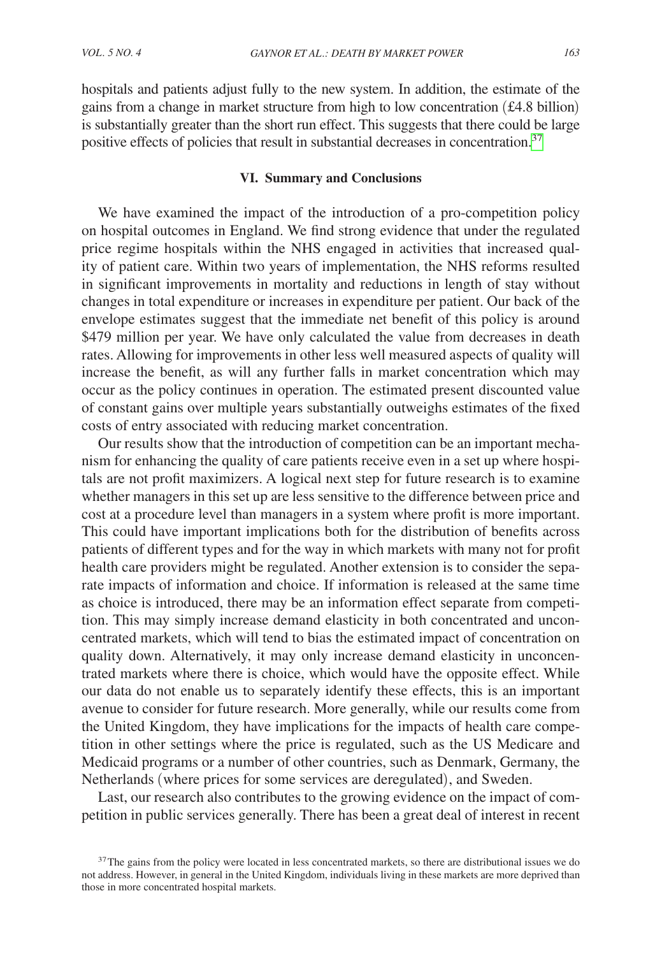hospitals and patients adjust fully to the new system. In addition, the estimate of the gains from a change in market structure from high to low concentration (£4.8 billion) is substantially greater than the short run effect. This suggests that there could be large positive effects of policies that result in substantial decreases in concentration.<sup>[37](#page-29-0)</sup>

#### **VI. Summary and Conclusions**

We have examined the impact of the introduction of a pro-competition policy on hospital outcomes in England. We find strong evidence that under the regulated price regime hospitals within the NHS engaged in activities that increased quality of patient care. Within two years of implementation, the NHS reforms resulted in significant improvements in mortality and reductions in length of stay without changes in total expenditure or increases in expenditure per patient. Our back of the envelope estimates suggest that the immediate net benefit of this policy is around \$479 million per year. We have only calculated the value from decreases in death rates. Allowing for improvements in other less well measured aspects of quality will increase the benefit, as will any further falls in market concentration which may occur as the policy continues in operation. The estimated present discounted value of constant gains over multiple years substantially outweighs estimates of the fixed costs of entry associated with reducing market concentration.

Our results show that the introduction of competition can be an important mechanism for enhancing the quality of care patients receive even in a set up where hospitals are not profit maximizers. A logical next step for future research is to examine whether managers in this set up are less sensitive to the difference between price and cost at a procedure level than managers in a system where profit is more important. This could have important implications both for the distribution of benefits across patients of different types and for the way in which markets with many not for profit health care providers might be regulated. Another extension is to consider the separate impacts of information and choice. If information is released at the same time as choice is introduced, there may be an information effect separate from competition. This may simply increase demand elasticity in both concentrated and unconcentrated markets, which will tend to bias the estimated impact of concentration on quality down. Alternatively, it may only increase demand elasticity in unconcentrated markets where there is choice, which would have the opposite effect. While our data do not enable us to separately identify these effects, this is an important avenue to consider for future research. More generally, while our results come from the United Kingdom, they have implications for the impacts of health care competition in other settings where the price is regulated, such as the US Medicare and Medicaid programs or a number of other countries, such as Denmark, Germany, the Netherlands (where prices for some services are deregulated), and Sweden.

Last, our research also contributes to the growing evidence on the impact of competition in public services generally. There has been a great deal of interest in recent

<span id="page-29-0"></span><sup>&</sup>lt;sup>37</sup>The gains from the policy were located in less concentrated markets, so there are distributional issues we do not address. However, in general in the United Kingdom, individuals living in these markets are more deprived than those in more concentrated hospital markets.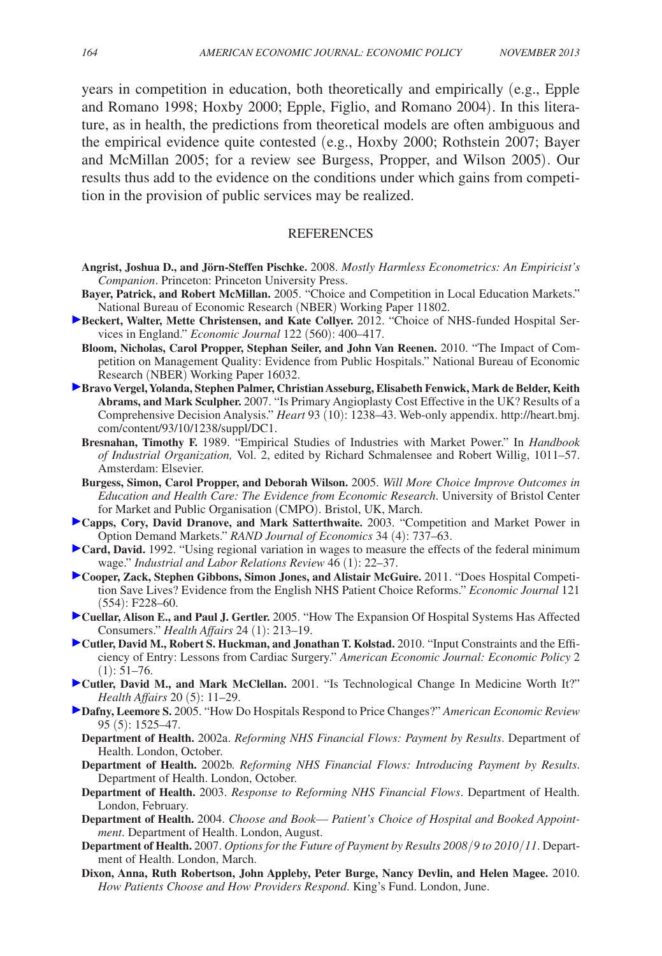years in competition in education, both theoretically and empirically (e.g., Epple and Romano 1998; Hoxby 2000; Epple, Figlio, and Romano 2004). In this literature, as in health, the predictions from theoretical models are often ambiguous and the empirical evidence quite contested (e.g., Hoxby 2000; Rothstein 2007; Bayer and McMillan 2005; for a review see Burgess, Propper, and Wilson 2005). Our results thus add to the evidence on the conditions under which gains from competition in the provision of public services may be realized.

#### **REFERENCES**

- **Angrist, Joshua D., and Jörn-Steffen Pischke.** 2008. *Mostly Harmless Econometrics: An Empiricist's Companion*. Princeton: Princeton University Press.
- **Bayer, Patrick, and Robert McMillan.** 2005. "Choice and Competition in Local Education Markets." National Bureau of Economic Research (NBER) Working Paper 11802.
- **Beckert, Walter, Mette Christensen, and Kate Collyer.** 2012. "Choice of NHS-funded Hospital Services in England." *Economic Journal* 122 (560): 400–417.
- **Bloom, Nicholas, Carol Propper, Stephan Seiler, and John Van Reenen.** 2010. "The Impact of Competition on Management Quality: Evidence from Public Hospitals." National Bureau of Economic Research (NBER) Working Paper 16032.
- **Bravo Vergel, Yolanda, Stephen Palmer, Christian Asseburg, Elisabeth Fenwick, Mark de Belder, Keith Abrams, and Mark Sculpher.** 2007. "Is Primary Angioplasty Cost Effective in the UK? Results of a Comprehensive Decision Analysis." *Heart* 93 (10): 1238–43. Web-only appendix. [http://heart.bmj.](http://heart.bmj.com/content/93/10/1238/suppl/DC1) [com/content/93/10/1238/suppl/DC1.](http://heart.bmj.com/content/93/10/1238/suppl/DC1)
	- **Bresnahan, Timothy F.** 1989. "Empirical Studies of Industries with Market Power." In *Handbook of Industrial Organization,* Vol. 2, edited by Richard Schmalensee and Robert Willig, 1011–57. Amsterdam: Elsevier.
	- **Burgess, Simon, Carol Propper, and Deborah Wilson.** 2005. *Will More Choice Improve Outcomes in Education and Health Care: The Evidence from Economic Research*. University of Bristol Center for Market and Public Organisation (CMPO). Bristol, UK, March.
- **[C](http://pubs.aeaweb.org/action/showLinks?crossref=10.2307%2F1593786)apps, Cory, David Dranove, and Mark Satterthwaite. 2003. "Competition and Market Power in** Option Demand Markets." *RAND Journal of Economics* 34 (4): 737–63.
- **[C](http://pubs.aeaweb.org/action/showLinks?crossref=10.2307%2F2524736)ard, David.** 1992. "Using regional variation in wages to measure the effects of the federal minimum wage." *Industrial and Labor Relations Review* 46 (1): 22–37.
- **Cooper, Zack, Stephen Gibbons, Simon Jones, and Alistair McGuire.** 2011. "Does Hospital Competition Save Lives? Evidence from the English NHS Patient Choice Reforms." *Economic Journal* 121 (554): F228–60.
- **Cuellar, Alison E., and Paul J. Gertler.** 2005. "How The Expansion Of Hospital Systems Has Affected Consumers." *Health Affairs* 24 (1): 213–19.
- **Cutler, David M., Robert S. Huckman, and Jonathan T. Kolstad.** 2010. "Input Constraints and the Efficiency of Entry: Lessons from Cardiac Surgery." *American Economic Journal: Economic Policy* 2  $(1): 51–76.$
- **Cutler, David M., and Mark McClellan.** 2001. "Is Technological Change In Medicine Worth It?" *Health Affairs* 20 (5): 11–29.
- **Dafny, Leemore S.** 2005. "How Do Hospitals Respond to Price Changes?" *American Economic Review* 95 (5): 1525–47.
	- **Department of Health.** 2002a. *Reforming NHS Financial Flows: Payment by Results*. Department of Health. London, October.
	- **Department of Health.** 2002b. *Reforming NHS Financial Flows: Introducing Payment by Results*. Department of Health. London, October.
	- **Department of Health.** 2003. *Response to Reforming NHS Financial Flows*. Department of Health. London, February.
	- **Department of Health.** 2004. *Choose and Book–– Patient's Choice of Hospital and Booked Appointment*. Department of Health. London, August.
	- **Department of Health.** 2007. *Options for the Future of Payment by Results 2008*/*9 to 2010*/*11*. Department of Health. London, March.
	- **Dixon, Anna, Ruth Robertson, John Appleby, Peter Burge, Nancy Devlin, and Helen Magee.** 2010. *How Patients Choose and How Providers Respond*. King's Fund. London, June.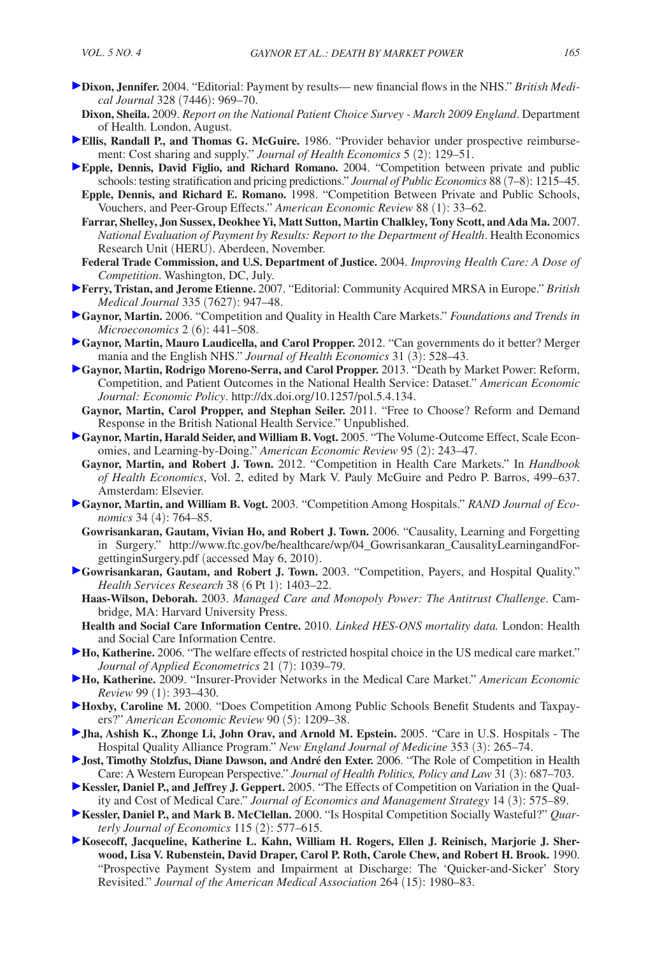- **Dixon, Jennifer.** 2004. "Editorial: Payment by results–– new financial flows in the NHS." *British Medical Journal* 328 (7446): 969–70.
- **Dixon, Sheila.** 2009. *Report on the National Patient Choice Survey March 2009 England*. Department of Health. London, August.
- **Ellis, Randall P., and Thomas G. McGuire.** 1986. "Provider behavior under prospective reimbursement: Cost sharing and supply." *Journal of Health Economics* 5 (2): 129–51.
- **Epple, Dennis, David Figlio, and Richard Romano.** 2004. "Competition between private and public schools: testing stratification and pricing predictions." *Journal of Public Economics* 88 (7–8): 1215–45.
	- **Epple, Dennis, and Richard E. Romano.** 1998. "Competition Between Private and Public Schools, Vouchers, and Peer-Group Effects." *American Economic Review* 88 (1): 33–62.
	- **Farrar, Shelley, Jon Sussex, Deokhee Yi, Matt Sutton, Martin Chalkley, Tony Scott, and Ada Ma.** 2007. *National Evaluation of Payment by Results: Report to the Department of Health*. Health Economics Research Unit (HERU). Aberdeen, November.
- **Federal Trade Commission, and U.S. Department of Justice.** 2004. *Improving Health Care: A Dose of Competition*. Washington, DC, July.
- **Ferry, Tristan, and Jerome Etienne.** 2007. "Editorial: Community Acquired MRSA in Europe." *British Medical Journal* 335 (7627): 947–48.
- **Gaynor, Martin.** 2006. "Competition and Quality in Health Care Markets." *Foundations and Trends in Microeconomics* 2 (6): 441–508.
- **Gaynor, Martin, Mauro Laudicella, and Carol Propper.** 2012. "Can governments do it better? Merger mania and the English NHS." *Journal of Health Economics* 31 (3): 528–43.
- **Gaynor, Martin, Rodrigo Moreno-Serra, and Carol Propper.** 2013. "Death by Market Power: Reform, Competition, and Patient Outcomes in the National Health Service: Dataset." *American Economic Journal: Economic Policy*.<http://dx.doi.org/10.1257/pol.5.4.134>.
- **Gaynor, Martin, Carol Propper, and Stephan Seiler.** 2011. "Free to Choose? Reform and Demand Response in the British National Health Service." Unpublished.
- **Gaynor, Martin, Harald Seider, and William B. Vogt.** 2005. "The Volume-Outcome Effect, Scale Economies, and Learning-by-Doing." *American Economic Review* 95 (2): 243–47.
- **Gaynor, Martin, and Robert J. Town.** 2012. "Competition in Health Care Markets." In *Handbook of Health Economics*, Vol. 2, edited by Mark V. Pauly McGuire and Pedro P. Barros, 499–637. Amsterdam: Elsevier.
- **Gaynor, Martin, and William B. Vogt.** 2003. "Competition Among Hospitals." *RAND Journal of Economics* 34 (4): 764–85.
	- **Gowrisankaran, Gautam, Vivian Ho, and Robert J. Town.** 2006. "Causality, Learning and Forgetting in Surgery." http://www.ftc.gov/be/healthcare/wp/04 Gowrisankaran CausalityLearningandFor[gettinginSurgery.pdf](http://www.ftc.gov/be/healthcare/wp/04_Gowrisankaran_CausalityLearningandForgettinginSurgery.pdf) (accessed May 6, 2010).
- **Gowrisankaran, Gautam, and Robert J. Town.** 2003. "Competition, Payers, and Hospital Quality." *Health Services Research* 38 (6 Pt 1): 1403–22.
	- **Haas-Wilson, Deborah.** 2003. *Managed Care and Monopoly Power: The Antitrust Challenge*. Cambridge, MA: Harvard University Press.
- **Health and Social Care Information Centre.** 2010. *Linked HES-ONS mortality data.* London: Health and Social Care Information Centre.
- **Ho, Katherine.** 2006. "The welfare effects of restricted hospital choice in the US medical care market." *Journal of Applied Econometrics* 21 (7): 1039–79.
- **Ho, Katherine.** 2009. "Insurer-Provider Networks in the Medical Care Market." *American Economic Review* 99 (1): 393–430.
- **Hoxby, Caroline M.** 2000. "Does Competition Among Public Schools Benefit Students and Taxpayers?" *American Economic Review* 90 (5): 1209–38.
- **Jha, Ashish K., Zhonge Li, John Orav, and Arnold M. Epstein.** 2005. "Care in U.S. Hospitals The Hospital Quality Alliance Program." *New England Journal of Medicine* 353 (3): 265–74.
- **Jost, Timothy Stolzfus, Diane Dawson, and André den Exter.** 2006. "The Role of Competition in Health Care: A Western European Perspective." *Journal of Health Politics, Policy and Law* 31 (3): 687–703.
- Kessler, Daniel P., and Jeffrey J. Geppert. 2005. "The Effects of Competition on Variation in the Quality and Cost of Medical Care." *Journal of Economics and Management Strategy* 14 (3): 575–89.
- Kessler, Daniel P., and Mark B. McClellan. 2000. "Is Hospital Competition Socially Wasteful?" *Quarterly Journal of Economics* 115 (2): 577–615.
- **Kosecoff, Jacqueline, Katherine L. Kahn, William H. Rogers, Ellen J. Reinisch, Marjorie J. Sherwood, Lisa V. Rubenstein, David Draper, Carol P. Roth, Carole Chew, and Robert H. Brook.** 1990. "Prospective Payment System and Impairment at Discharge: The 'Quicker-and-Sicker' Story Revisited." *Journal of the American Medical Association* 264 (15): 1980–83.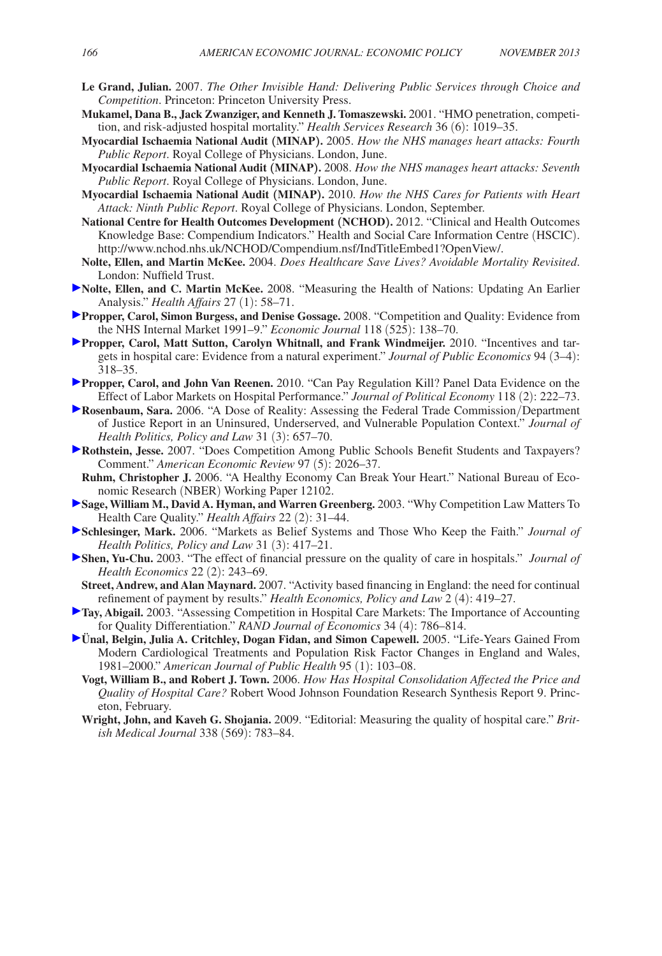- **Le Grand, Julian.** 2007. *The Other Invisible Hand: Delivering Public Services through Choice and Competition*. Princeton: Princeton University Press.
- **Mukamel, Dana B., Jack Zwanziger, and Kenneth J. Tomaszewski.** 2001. "HMO penetration, competition, and risk-adjusted hospital mortality." *Health Services Research* 36 (6): 1019–35.
- **Myocardial Ischaemia National Audit (MINAP).** 2005. *How the NHS manages heart attacks: Fourth Public Report*. Royal College of Physicians. London, June.
- **Myocardial Ischaemia National Audit (MINAP).** 2008. *How the NHS manages heart attacks: Seventh Public Report*. Royal College of Physicians. London, June.
- **Myocardial Ischaemia National Audit (MINAP).** 2010. *How the NHS Cares for Patients with Heart Attack: Ninth Public Report*. Royal College of Physicians. London, September.
- **National Centre for Health Outcomes Development (NCHOD).** 2012. "Clinical and Health Outcomes Knowledge Base: Compendium Indicators." Health and Social Care Information Centre (HSCIC). <http://www.nchod.nhs.uk/NCHOD/Compendium.nsf/IndTitleEmbed1?OpenView>/.
- **Nolte, Ellen, and Martin McKee.** 2004. *Does Healthcare Save Lives? Avoidable Mortality Revisited*. London: Nuffield Trust.
- **Nolte, Ellen, and C. Martin McKee.** 2008. "Measuring the Health of Nations: Updating An Earlier Analysis." *Health Affairs* 27 (1): 58–71.
- **Propper, Carol, Simon Burgess, and Denise Gossage.** 2008. "Competition and Quality: Evidence from the NHS Internal Market 1991–9." *Economic Journal* 118 (525): 138–70.
- **Propper, Carol, Matt Sutton, Carolyn Whitnall, and Frank Windmeijer.** 2010. "Incentives and targets in hospital care: Evidence from a natural experiment." *Journal of Public Economics* 94 (3–4): 318–35.
- **Propper, Carol, and John Van Reenen.** 2010. "Can Pay Regulation Kill? Panel Data Evidence on the Effect of Labor Markets on Hospital Performance." *Journal of Political Economy* 118 (2): 222–73.
- **Rosenbaum, Sara.** 2006. "A Dose of Reality: Assessing the Federal Trade Commission/Department of Justice Report in an Uninsured, Underserved, and Vulnerable Population Context." *Journal of Health Politics, Policy and Law* 31 (3): 657–70.
- **Rothstein, Jesse.** 2007. "Does Competition Among Public Schools Benefit Students and Taxpayers? Comment." *American Economic Review* 97 (5): 2026–37.
- **Ruhm, Christopher J.** 2006. "A Healthy Economy Can Break Your Heart." National Bureau of Economic Research (NBER) Working Paper 12102.
- **Sage, William M., David A. Hyman, and Warren Greenberg.** 2003. "Why Competition Law Matters To Health Care Quality." *Health Affairs* 22 (2): 31–44.
- **Schlesinger, Mark.** 2006. "Markets as Belief Systems and Those Who Keep the Faith." *Journal of Health Politics, Policy and Law* 31 (3): 417–21.
- **Shen, Yu-Chu.** 2003. "The effect of financial pressure on the quality of care in hospitals." *Journal of Health Economics* 22 (2): 243–69.
- **Street, Andrew, and Alan Maynard.** 2007. "Activity based financing in England: the need for continual refinement of payment by results." *Health Economics, Policy and Law* 2 (4): 419–27.
- **Tay, Abigail.** 2003. "Assessing Competition in Hospital Care Markets: The Importance of Accounting for Quality Differentiation." *RAND Journal of Economics* 34 (4): 786–814.
- **Ünal, Belgin, Julia A. Critchley, Dogan Fidan, and Simon Capewell.** 2005. "Life-Years Gained From Modern Cardiological Treatments and Population Risk Factor Changes in England and Wales, 1981–2000." *American Journal of Public Health* 95 (1): 103–08.
	- **Vogt, William B., and Robert J. Town.** 2006. *How Has Hospital Consolidation Affected the Price and Quality of Hospital Care?* Robert Wood Johnson Foundation Research Synthesis Report 9. Princeton, February.
	- **Wright, John, and Kaveh G. Shojania.** 2009. "Editorial: Measuring the quality of hospital care." *British Medical Journal* 338 (569): 783–84.